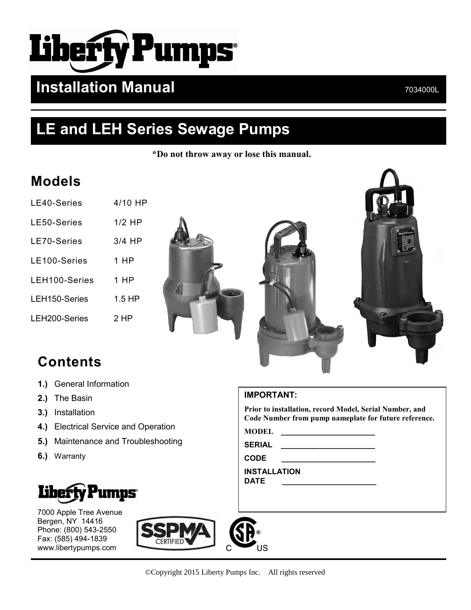

# **Installation Manual** 7034000L

# **LE and LEH Series Sewage Pumps**

**\*Do not throw away or lose this manual.**

# **Models**

| LE40-Series   | 4/10 HP  |
|---------------|----------|
| LE50-Series   | $1/2$ HP |
| LE70-Series   | $3/4$ HP |
| LE100-Series  | 1 HP     |
| LEH100-Series | 1 HP     |
| LEH150-Series | $1.5$ HP |
| LEH200-Series | 2 HP     |





# **Contents**

- **1.)** General Information
- **2.)** The Basin
- **3.)** Installation
- **4.)** Electrical Service and Operation
- **5.)** Maintenance and Troubleshooting
- **6.)** Warranty



7000 Apple Tree Avenue Bergen, NY 14416 Phone: (800) 543-2550 Fax: (585) 494-1839 www.libertypumps.com







**Prior to installation, record Model, Serial Number, and Code Number from pump nameplate for future reference.**

**MODEL \_\_\_\_\_\_\_\_\_\_\_\_\_\_\_\_\_\_\_\_\_\_**

**SERIAL \_\_\_\_\_\_\_\_\_\_\_\_\_\_\_\_\_\_\_\_\_\_**

**CODE \_\_\_\_\_\_\_\_\_\_\_\_\_\_\_\_\_\_\_\_\_\_**

**INSTALLATION**

**DATE \_\_\_\_\_\_\_\_\_\_\_\_\_\_\_\_\_\_\_\_\_\_**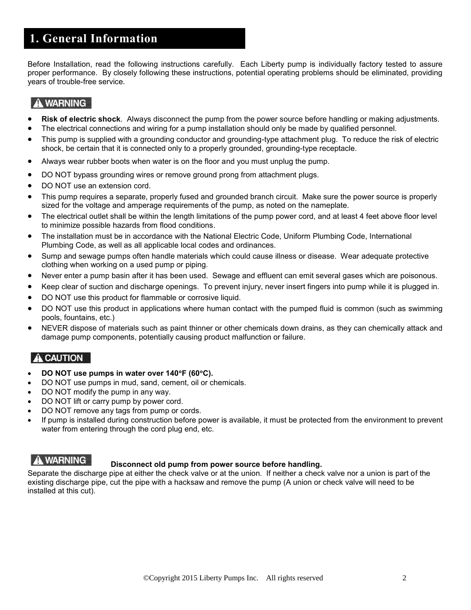# **1. General Information**

Before Installation, read the following instructions carefully. Each Liberty pump is individually factory tested to assure proper performance. By closely following these instructions, potential operating problems should be eliminated, providing years of trouble-free service.

## **A WARNING**

- **Risk of electric shock**. Always disconnect the pump from the power source before handling or making adjustments.
- The electrical connections and wiring for a pump installation should only be made by qualified personnel.
- This pump is supplied with a grounding conductor and grounding-type attachment plug. To reduce the risk of electric shock, be certain that it is connected only to a properly grounded, grounding-type receptacle.
- Always wear rubber boots when water is on the floor and you must unplug the pump.
- DO NOT bypass grounding wires or remove ground prong from attachment plugs.
- DO NOT use an extension cord.
- This pump requires a separate, properly fused and grounded branch circuit. Make sure the power source is properly sized for the voltage and amperage requirements of the pump, as noted on the nameplate.
- The electrical outlet shall be within the length limitations of the pump power cord, and at least 4 feet above floor level to minimize possible hazards from flood conditions.
- The installation must be in accordance with the National Electric Code, Uniform Plumbing Code, International Plumbing Code, as well as all applicable local codes and ordinances.
- Sump and sewage pumps often handle materials which could cause illness or disease. Wear adequate protective clothing when working on a used pump or piping.
- Never enter a pump basin after it has been used. Sewage and effluent can emit several gases which are poisonous.
- Keep clear of suction and discharge openings. To prevent injury, never insert fingers into pump while it is plugged in.
- DO NOT use this product for flammable or corrosive liquid.
- DO NOT use this product in applications where human contact with the pumped fluid is common (such as swimming pools, fountains, etc.)
- NEVER dispose of materials such as paint thinner or other chemicals down drains, as they can chemically attack and damage pump components, potentially causing product malfunction or failure.

## **A CAUTION**

- **DO NOT use pumps in water over 140F (60C).**
- DO NOT use pumps in mud, sand, cement, oil or chemicals.
- DO NOT modify the pump in any way.
- DO NOT lift or carry pump by power cord.
- DO NOT remove any tags from pump or cords.
- If pump is installed during construction before power is available, it must be protected from the environment to prevent water from entering through the cord plug end, etc.

## **WARNING**

### **Disconnect old pump from power source before handling.**

Separate the discharge pipe at either the check valve or at the union. If neither a check valve nor a union is part of the existing discharge pipe, cut the pipe with a hacksaw and remove the pump (A union or check valve will need to be installed at this cut).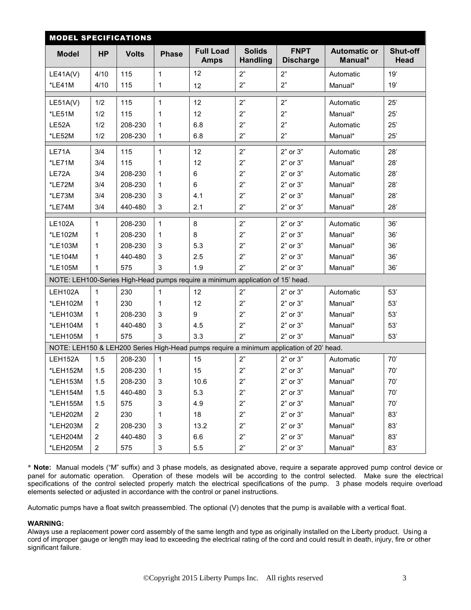| <b>MODEL SPECIFICATIONS</b> |                         |              |              |                                                                                |                                  |                                                                                         |                                |                         |
|-----------------------------|-------------------------|--------------|--------------|--------------------------------------------------------------------------------|----------------------------------|-----------------------------------------------------------------------------------------|--------------------------------|-------------------------|
| <b>Model</b>                | <b>HP</b>               | <b>Volts</b> | <b>Phase</b> | <b>Full Load</b><br><b>Amps</b>                                                | <b>Solids</b><br><b>Handling</b> | <b>FNPT</b><br><b>Discharge</b>                                                         | <b>Automatic or</b><br>Manual* | Shut-off<br><b>Head</b> |
| LE41A(V)                    | 4/10                    | 115          | $\mathbf{1}$ | 12                                                                             | 2"                               | 2"                                                                                      | Automatic                      | 19'                     |
| *LE41M                      | 4/10                    | 115          | 1            | 12                                                                             | 2"                               | 2"                                                                                      | Manual*                        | 19'                     |
| LE51A(V)                    | 1/2                     | 115          | $\mathbf{1}$ | 12                                                                             | 2"                               | 2"                                                                                      | Automatic                      | 25'                     |
| *LE51M                      | 1/2                     | 115          | $\mathbf 1$  | 12                                                                             | 2"                               | 2"                                                                                      | Manual*                        | 25'                     |
| LE52A                       | 1/2                     | 208-230      | $\mathbf{1}$ | 6.8                                                                            | 2"                               | 2"                                                                                      | Automatic                      | 25'                     |
| *LE52M                      | 1/2                     | 208-230      | 1            | 6.8                                                                            | 2"                               | 2"                                                                                      | Manual*                        | 25'                     |
| LE71A                       | 3/4                     | 115          | $\mathbf{1}$ | 12                                                                             | 2"                               | 2" or 3"                                                                                | Automatic                      | 28'                     |
| *LE71M                      | 3/4                     | 115          | $\mathbf{1}$ | 12                                                                             | 2"                               | $2"$ or $3"$                                                                            | Manual*                        | 28'                     |
| LE72A                       | 3/4                     | 208-230      | 1            | 6                                                                              | 2"                               | $2"$ or $3"$                                                                            | Automatic                      | 28'                     |
| *LE72M                      | 3/4                     | 208-230      | $\mathbf{1}$ | 6                                                                              | 2"                               | 2" or 3"                                                                                | Manual*                        | 28'                     |
| *LE73M                      | 3/4                     | 208-230      | 3            | 4.1                                                                            | 2"                               | 2" or 3"                                                                                | Manual*                        | 28'                     |
| *LE74M                      | 3/4                     | 440-480      | 3            | 2.1                                                                            | 2"                               | 2" or 3"                                                                                | Manual*                        | 28'                     |
| <b>LE102A</b>               | $\mathbf{1}$            | 208-230      | $\mathbf{1}$ | 8                                                                              | 2"                               | $2"$ or $3"$                                                                            | Automatic                      | 36'                     |
| *LE102M                     | 1                       | 208-230      | 1            | 8                                                                              | 2"                               | 2" or 3"                                                                                | Manual*                        | 36'                     |
| *LE103M                     | 1                       | 208-230      | 3            | 5.3                                                                            | 2"                               | 2" or 3"                                                                                | Manual*                        | 36'                     |
| *LE104M                     | $\mathbf 1$             | 440-480      | 3            | 2.5                                                                            | 2"                               | 2" or 3"                                                                                | Manual*                        | 36'                     |
| *LE105M                     | 1                       | 575          | 3            | 1.9                                                                            | 2"                               | 2" or 3"                                                                                | Manual*                        | 36'                     |
|                             |                         |              |              | NOTE: LEH100-Series High-Head pumps require a minimum application of 15' head. |                                  |                                                                                         |                                |                         |
| LEH102A                     | $\mathbf{1}$            | 230          | $\mathbf{1}$ | 12                                                                             | 2"                               | 2" or 3"                                                                                | Automatic                      | 53'                     |
| *LEH102M                    | 1                       | 230          | $\mathbf 1$  | 12                                                                             | 2"                               | 2" or 3"                                                                                | Manual*                        | 53'                     |
| *LEH103M                    | 1                       | 208-230      | 3            | 9                                                                              | 2"                               | 2" or 3"                                                                                | Manual*                        | 53'                     |
| *LEH104M                    | 1                       | 440-480      | 3            | 4.5                                                                            | 2"                               | 2" or 3"                                                                                | Manual*                        | 53'                     |
| *LEH105M                    | 1                       | 575          | 3            | 3.3                                                                            | 2"                               | 2" or 3"                                                                                | Manual*                        | 53'                     |
|                             |                         |              |              |                                                                                |                                  | NOTE: LEH150 & LEH200 Series High-Head pumps require a minimum application of 20' head. |                                |                         |
| LEH152A                     | 1.5                     | 208-230      | $\mathbf{1}$ | 15                                                                             | 2"                               | 2" or 3"                                                                                | Automatic                      | 70'                     |
| *LEH152M                    | 1.5                     | 208-230      | $\mathbf{1}$ | 15                                                                             | 2"                               | $2"$ or $3"$                                                                            | Manual*                        | 70'                     |
| *LEH153M                    | 1.5                     | 208-230      | 3            | 10.6                                                                           | 2"                               | 2" or 3"                                                                                | Manual*                        | 70'                     |
| *LEH154M                    | 1.5                     | 440-480      | 3            | 5.3                                                                            | 2"                               | $2"$ or $3"$                                                                            | Manual*                        | 70'                     |
| *LEH155M                    | 1.5                     | 575          | 3            | 4.9                                                                            | 2"                               | 2" or 3"                                                                                | Manual*                        | 70'                     |
| *LEH202M                    | 2                       | 230          | 1            | 18                                                                             | 2"                               | 2" or 3"                                                                                | Manual*                        | 83'                     |
| *LEH203M                    | $\overline{\mathbf{c}}$ | 208-230      | 3            | 13.2                                                                           | 2"                               | $2"$ or $3"$                                                                            | Manual*                        | 83'                     |
| *LEH204M                    | $\overline{c}$          | 440-480      | 3            | 6.6                                                                            | 2"                               | 2" or 3"                                                                                | Manual*                        | 83'                     |
| *LEH205M                    | $\overline{c}$          | 575          | 3            | 5.5                                                                            | 2"                               | 2" or 3"                                                                                | Manual*                        | 83'                     |

 **Note:** Manual models ("M" suffix) and 3 phase models, as designated above, require a separate approved pump control device or panel for automatic operation. Operation of these models will be according to the control selected. Make sure the electrical specifications of the control selected properly match the electrical specifications of the pump. 3 phase models require overload elements selected or adjusted in accordance with the control or panel instructions.

Automatic pumps have a float switch preassembled. The optional (V) denotes that the pump is available with a vertical float.

### **WARNING:**

Always use a replacement power cord assembly of the same length and type as originally installed on the Liberty product. Using a cord of improper gauge or length may lead to exceeding the electrical rating of the cord and could result in death, injury, fire or other significant failure.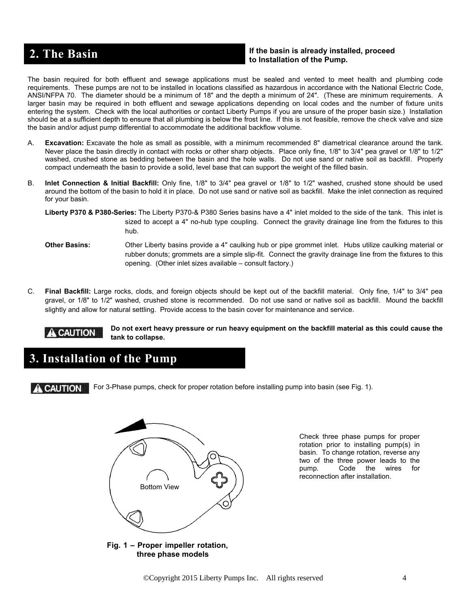### **If the basin is already installed, proceed to Installation of the Pump.**

The basin required for both effluent and sewage applications must be sealed and vented to meet health and plumbing code requirements. These pumps are not to be installed in locations classified as hazardous in accordance with the National Electric Code, ANSI/NFPA 70. The diameter should be a minimum of 18" and the depth a minimum of 24". (These are minimum requirements. A larger basin may be required in both effluent and sewage applications depending on local codes and the number of fixture units entering the system. Check with the local authorities or contact Liberty Pumps if you are unsure of the proper basin size.) Installation should be at a sufficient depth to ensure that all plumbing is below the frost line. If this is not feasible, remove the check valve and size the basin and/or adjust pump differential to accommodate the additional backflow volume.

- A. **Excavation:** Excavate the hole as small as possible, with a minimum recommended 8" diametrical clearance around the tank. Never place the basin directly in contact with rocks or other sharp objects. Place only fine, 1/8" to 3/4" pea gravel or 1/8" to 1/2" washed, crushed stone as bedding between the basin and the hole walls. Do not use sand or native soil as backfill. Properly compact underneath the basin to provide a solid, level base that can support the weight of the filled basin.
- B. **Inlet Connection & Initial Backfill:** Only fine, 1/8" to 3/4" pea gravel or 1/8" to 1/2" washed, crushed stone should be used around the bottom of the basin to hold it in place. Do not use sand or native soil as backfill. Make the inlet connection as required for your basin.

**Liberty P370 & P380-Series:** The Liberty P370-& P380 Series basins have a 4" inlet molded to the side of the tank. This inlet is sized to accept a 4" no-hub type coupling. Connect the gravity drainage line from the fixtures to this hub.

- **Other Basins:** Other Liberty basins provide a 4" caulking hub or pipe grommet inlet. Hubs utilize caulking material or rubber donuts; grommets are a simple slip-fit. Connect the gravity drainage line from the fixtures to this opening. (Other inlet sizes available – consult factory.)
- C. **Final Backfill:** Large rocks, clods, and foreign objects should be kept out of the backfill material. Only fine, 1/4" to 3/4" pea gravel, or 1/8" to 1/2" washed, crushed stone is recommended. Do not use sand or native soil as backfill. Mound the backfill slightly and allow for natural settling. Provide access to the basin cover for maintenance and service.



## **3. Installation of the Pump**

For 3-Phase pumps, check for proper rotation before installing pump into basin (see Fig. 1). **CAUTION** 



**Fig. 1 – Proper impeller rotation, three phase models**

Check three phase pumps for proper rotation prior to installing pump(s) in basin. To change rotation, reverse any two of the three power leads to the<br>nump. Code the wires for pump. Code the wires for reconnection after installation.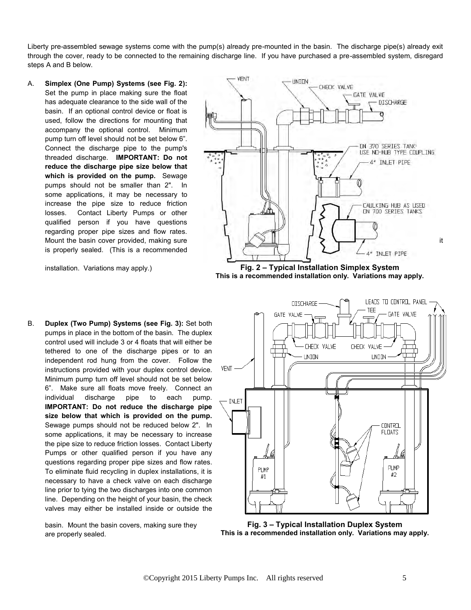Liberty pre-assembled sewage systems come with the pump(s) already pre-mounted in the basin. The discharge pipe(s) already exit through the cover, ready to be connected to the remaining discharge line. If you have purchased a pre-assembled system, disregard steps A and B below.

A. **Simplex (One Pump) Systems (see Fig. 2):** Set the pump in place making sure the float has adequate clearance to the side wall of the basin. If an optional control device or float is used, follow the directions for mounting that accompany the optional control. Minimum pump turn off level should not be set below 6". Connect the discharge pipe to the pump's threaded discharge. **IMPORTANT: Do not reduce the discharge pipe size below that which is provided on the pump.** Sewage pumps should not be smaller than 2". In some applications, it may be necessary to increase the pipe size to reduce friction losses. Contact Liberty Pumps or other qualified person if you have questions regarding proper pipe sizes and flow rates. is properly sealed. (This is a recommended

installation. Variations may apply.)

B. **Duplex (Two Pump) Systems (see Fig. 3):** Set both pumps in place in the bottom of the basin. The duplex control used will include 3 or 4 floats that will either be tethered to one of the discharge pipes or to an independent rod hung from the cover. Follow the instructions provided with your duplex control device. Minimum pump turn off level should not be set below 6". Make sure all floats move freely. Connect an individual discharge pipe to each pump. **IMPORTANT: Do not reduce the discharge pipe size below that which is provided on the pump.**  Sewage pumps should not be reduced below 2". In some applications, it may be necessary to increase the pipe size to reduce friction losses. Contact Liberty Pumps or other qualified person if you have any questions regarding proper pipe sizes and flow rates. To eliminate fluid recycling in duplex installations, it is necessary to have a check valve on each discharge line prior to tying the two discharges into one common line. Depending on the height of your basin, the check valves may either be installed inside or outside the

basin. Mount the basin covers, making sure they are properly sealed.



**Fig. 2 – Typical Installation Simplex System This is a recommended installation only. Variations may apply.**



**Fig. 3 – Typical Installation Duplex System This is a recommended installation only. Variations may apply.**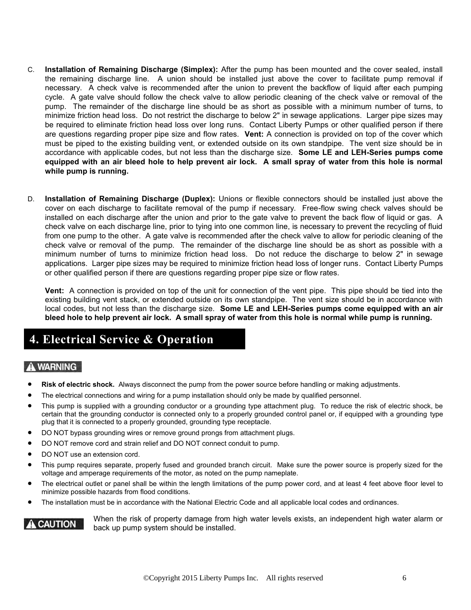- C. **Installation of Remaining Discharge (Simplex):** After the pump has been mounted and the cover sealed, install the remaining discharge line. A union should be installed just above the cover to facilitate pump removal if necessary. A check valve is recommended after the union to prevent the backflow of liquid after each pumping cycle. A gate valve should follow the check valve to allow periodic cleaning of the check valve or removal of the pump. The remainder of the discharge line should be as short as possible with a minimum number of turns, to minimize friction head loss. Do not restrict the discharge to below 2" in sewage applications. Larger pipe sizes may be required to eliminate friction head loss over long runs. Contact Liberty Pumps or other qualified person if there are questions regarding proper pipe size and flow rates. **Vent:** A connection is provided on top of the cover which must be piped to the existing building vent, or extended outside on its own standpipe. The vent size should be in accordance with applicable codes, but not less than the discharge size. **Some LE and LEH-Series pumps come equipped with an air bleed hole to help prevent air lock. A small spray of water from this hole is normal while pump is running.**
- D. **Installation of Remaining Discharge (Duplex):** Unions or flexible connectors should be installed just above the cover on each discharge to facilitate removal of the pump if necessary. Free-flow swing check valves should be installed on each discharge after the union and prior to the gate valve to prevent the back flow of liquid or gas. A check valve on each discharge line, prior to tying into one common line, is necessary to prevent the recycling of fluid from one pump to the other. A gate valve is recommended after the check valve to allow for periodic cleaning of the check valve or removal of the pump. The remainder of the discharge line should be as short as possible with a minimum number of turns to minimize friction head loss. Do not reduce the discharge to below 2" in sewage applications. Larger pipe sizes may be required to minimize friction head loss of longer runs. Contact Liberty Pumps or other qualified person if there are questions regarding proper pipe size or flow rates.

**Vent:** A connection is provided on top of the unit for connection of the vent pipe. This pipe should be tied into the existing building vent stack, or extended outside on its own standpipe. The vent size should be in accordance with local codes, but not less than the discharge size. **Some LE and LEH-Series pumps come equipped with an air bleed hole to help prevent air lock. A small spray of water from this hole is normal while pump is running.** 

## **4. Electrical Service & Operation**

## **WARNING**

- **Risk of electric shock.** Always disconnect the pump from the power source before handling or making adjustments.
- The electrical connections and wiring for a pump installation should only be made by qualified personnel.
- This pump is supplied with a grounding conductor or a grounding type attachment plug. To reduce the risk of electric shock, be certain that the grounding conductor is connected only to a properly grounded control panel or, if equipped with a grounding type plug that it is connected to a properly grounded, grounding type receptacle.
- DO NOT bypass grounding wires or remove ground prongs from attachment plugs.
- DO NOT remove cord and strain relief and DO NOT connect conduit to pump.
- DO NOT use an extension cord.
- This pump requires separate, properly fused and grounded branch circuit. Make sure the power source is properly sized for the voltage and amperage requirements of the motor, as noted on the pump nameplate.
- The electrical outlet or panel shall be within the length limitations of the pump power cord, and at least 4 feet above floor level to minimize possible hazards from flood conditions.
- The installation must be in accordance with the National Electric Code and all applicable local codes and ordinances.

**CAUTION** 

When the risk of property damage from high water levels exists, an independent high water alarm or back up pump system should be installed.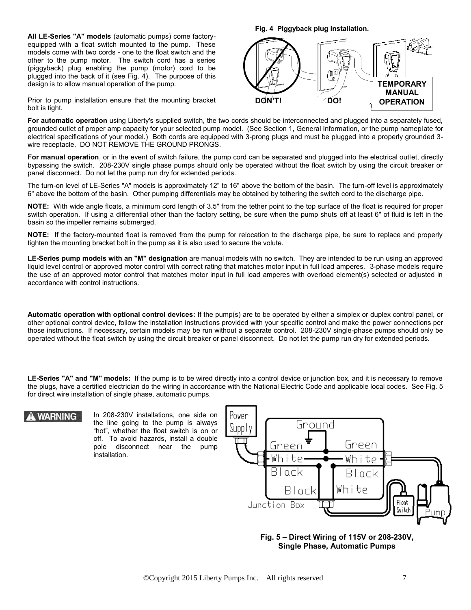**All LE-Series "A" models** (automatic pumps) come factoryequipped with a float switch mounted to the pump. These models come with two cords - one to the float switch and the other to the pump motor. The switch cord has a series (piggyback) plug enabling the pump (motor) cord to be plugged into the back of it (see Fig. 4). The purpose of this design is to allow manual operation of the pump.

Prior to pump installation ensure that the mounting bracket bolt is tight.

**Fig. 4 Piggyback plug installation.**



**For automatic operation** using Liberty's supplied switch, the two cords should be interconnected and plugged into a separately fused, grounded outlet of proper amp capacity for your selected pump model. (See Section 1, General Information, or the pump nameplate for electrical specifications of your model.) Both cords are equipped with 3-prong plugs and must be plugged into a properly grounded 3 wire receptacle. DO NOT REMOVE THE GROUND PRONGS.

For manual operation, or in the event of switch failure, the pump cord can be separated and plugged into the electrical outlet, directly bypassing the switch. 208-230V single phase pumps should only be operated without the float switch by using the circuit breaker or panel disconnect. Do not let the pump run dry for extended periods.

The turn-on level of LE-Series "A" models is approximately 12" to 16" above the bottom of the basin. The turn-off level is approximately 6" above the bottom of the basin. Other pumping differentials may be obtained by tethering the switch cord to the discharge pipe.

**NOTE:** With wide angle floats, a minimum cord length of 3.5" from the tether point to the top surface of the float is required for proper switch operation. If using a differential other than the factory setting, be sure when the pump shuts off at least 6" of fluid is left in the basin so the impeller remains submerged.

**NOTE:** If the factory-mounted float is removed from the pump for relocation to the discharge pipe, be sure to replace and properly tighten the mounting bracket bolt in the pump as it is also used to secure the volute.

**LE-Series pump models with an "M" designation** are manual models with no switch. They are intended to be run using an approved liquid level control or approved motor control with correct rating that matches motor input in full load amperes. 3-phase models require the use of an approved motor control that matches motor input in full load amperes with overload element(s) selected or adjusted in accordance with control instructions.

**Automatic operation with optional control devices:** If the pump(s) are to be operated by either a simplex or duplex control panel, or other optional control device, follow the installation instructions provided with your specific control and make the power connections per those instructions. If necessary, certain models may be run without a separate control. 208-230V single-phase pumps should only be operated without the float switch by using the circuit breaker or panel disconnect. Do not let the pump run dry for extended periods.

LE-Series "A" and "M" models: If the pump is to be wired directly into a control device or junction box, and it is necessary to remove the plugs, have a certified electrician do the wiring in accordance with the National Electric Code and applicable local codes. See Fig. 5 for direct wire installation of single phase, automatic pumps.



In 208-230V installations, one side on the line going to the pump is always "hot", whether the float switch is on or off. To avoid hazards, install a double pole disconnect near the pump installation.



**Fig. 5 – Direct Wiring of 115V or 208-230V, Single Phase, Automatic Pumps**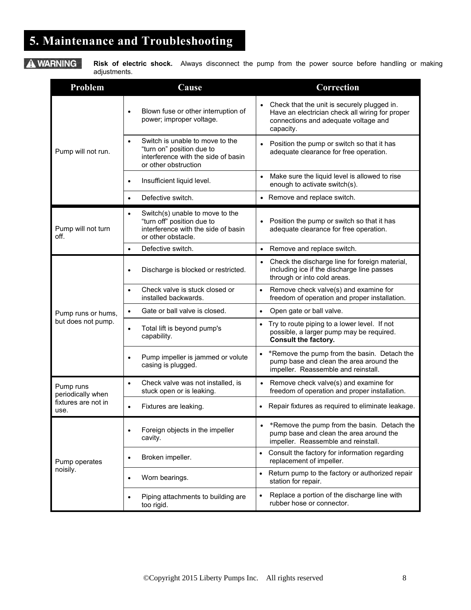### i **5. Maintenance and Troubleshooting**

**A WARNING** 

adjustments.

**Risk of electric shock.** Always disconnect the pump from the power source before handling or making

| Problem                        | Cause                                                                                                                                    | Correction                                                                                                                                          |
|--------------------------------|------------------------------------------------------------------------------------------------------------------------------------------|-----------------------------------------------------------------------------------------------------------------------------------------------------|
|                                | Blown fuse or other interruption of<br>$\bullet$<br>power; improper voltage.                                                             | Check that the unit is securely plugged in.<br>Have an electrician check all wiring for proper<br>connections and adequate voltage and<br>capacity. |
| Pump will not run.             | Switch is unable to move to the<br>$\bullet$<br>"turn on" position due to<br>interference with the side of basin<br>or other obstruction | Position the pump or switch so that it has<br>adequate clearance for free operation.                                                                |
|                                | Insufficient liquid level.<br>$\bullet$                                                                                                  | Make sure the liquid level is allowed to rise<br>enough to activate switch(s).                                                                      |
|                                | Defective switch.<br>$\bullet$                                                                                                           | • Remove and replace switch.                                                                                                                        |
| Pump will not turn<br>off.     | Switch(s) unable to move to the<br>$\bullet$<br>"turn off" position due to<br>interference with the side of basin<br>or other obstacle.  | Position the pump or switch so that it has<br>adequate clearance for free operation.                                                                |
|                                | Defective switch.<br>$\bullet$                                                                                                           | Remove and replace switch.<br>$\bullet$                                                                                                             |
|                                | Discharge is blocked or restricted.<br>$\bullet$                                                                                         | Check the discharge line for foreign material,<br>$\bullet$<br>including ice if the discharge line passes<br>through or into cold areas.            |
|                                | Check valve is stuck closed or<br>$\bullet$<br>installed backwards.                                                                      | Remove check valve(s) and examine for<br>$\bullet$<br>freedom of operation and proper installation.                                                 |
| Pump runs or hums,             | Gate or ball valve is closed.<br>$\bullet$                                                                                               | Open gate or ball valve.<br>$\bullet$                                                                                                               |
| but does not pump.             | Total lift is beyond pump's<br>٠<br>capability.                                                                                          | Try to route piping to a lower level. If not<br>$\bullet$<br>possible, a larger pump may be required.<br><b>Consult the factory.</b>                |
|                                | Pump impeller is jammed or volute<br>٠<br>casing is plugged.                                                                             | *Remove the pump from the basin. Detach the<br>$\bullet$<br>pump base and clean the area around the<br>impeller. Reassemble and reinstall.          |
| Pump runs<br>periodically when | Check valve was not installed, is<br>$\bullet$<br>stuck open or is leaking.                                                              | Remove check valve(s) and examine for<br>freedom of operation and proper installation.                                                              |
| fixtures are not in<br>use.    | Fixtures are leaking.<br>$\bullet$                                                                                                       | Repair fixtures as required to eliminate leakage.                                                                                                   |
|                                | Foreign objects in the impeller<br>٠<br>cavity.                                                                                          | *Remove the pump from the basin. Detach the<br>pump base and clean the area around the<br>impeller. Reassemble and reinstall.                       |
| Pump operates                  | Broken impeller.<br>$\bullet$                                                                                                            | Consult the factory for information regarding<br>$\bullet$<br>replacement of impeller.                                                              |
| noisily.                       | Worn bearings.<br>٠                                                                                                                      | Return pump to the factory or authorized repair<br>$\bullet$<br>station for repair.                                                                 |
|                                | Piping attachments to building are<br>٠<br>too rigid.                                                                                    | Replace a portion of the discharge line with<br>$\bullet$<br>rubber hose or connector.                                                              |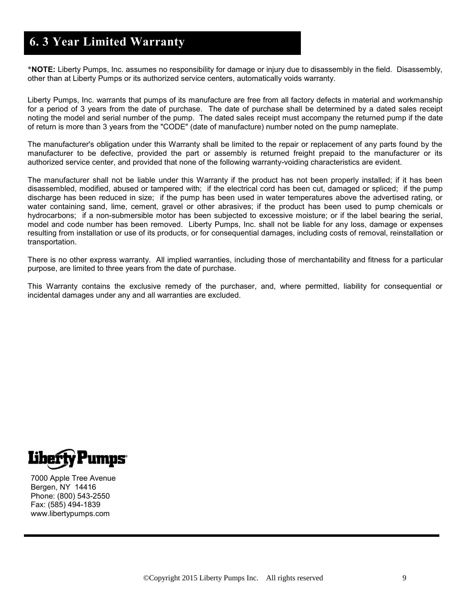## **6. 3 Year Limited Warranty**

**NOTE:** Liberty Pumps, Inc. assumes no responsibility for damage or injury due to disassembly in the field. Disassembly, other than at Liberty Pumps or its authorized service centers, automatically voids warranty.

Liberty Pumps, Inc. warrants that pumps of its manufacture are free from all factory defects in material and workmanship for a period of 3 years from the date of purchase. The date of purchase shall be determined by a dated sales receipt noting the model and serial number of the pump. The dated sales receipt must accompany the returned pump if the date of return is more than 3 years from the "CODE" (date of manufacture) number noted on the pump nameplate.

The manufacturer's obligation under this Warranty shall be limited to the repair or replacement of any parts found by the manufacturer to be defective, provided the part or assembly is returned freight prepaid to the manufacturer or its authorized service center, and provided that none of the following warranty-voiding characteristics are evident.

The manufacturer shall not be liable under this Warranty if the product has not been properly installed; if it has been disassembled, modified, abused or tampered with; if the electrical cord has been cut, damaged or spliced; if the pump discharge has been reduced in size; if the pump has been used in water temperatures above the advertised rating, or water containing sand, lime, cement, gravel or other abrasives; if the product has been used to pump chemicals or hydrocarbons; if a non-submersible motor has been subjected to excessive moisture; or if the label bearing the serial, model and code number has been removed. Liberty Pumps, Inc. shall not be liable for any loss, damage or expenses resulting from installation or use of its products, or for consequential damages, including costs of removal, reinstallation or transportation.

There is no other express warranty. All implied warranties, including those of merchantability and fitness for a particular purpose, are limited to three years from the date of purchase.

This Warranty contains the exclusive remedy of the purchaser, and, where permitted, liability for consequential or incidental damages under any and all warranties are excluded.



7000 Apple Tree Avenue Bergen, NY 14416 Phone: (800) 543-2550 Fax: (585) 494-1839 www.libertypumps.com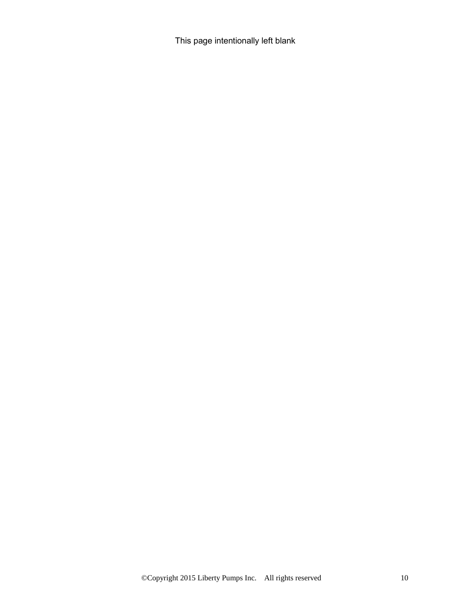This page intentionally left blank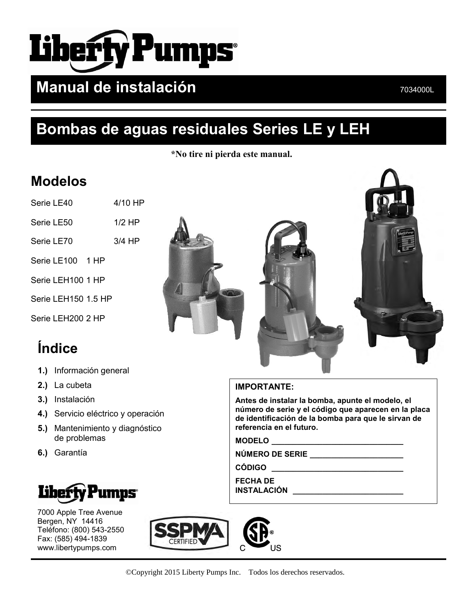

# **Manual de instalación**

# **Bombas de aguas residuales Series LE y LEH**

**\*No tire ni pierda este manual.**

# **Modelos**

- Serie LE40 4/10 HP
- Serie LE50 1/2 HP
- Serie LE70 3/4 HP
- Serie LE100 1 HP
- Serie LEH100 1 HP
- Serie LEH150 1.5 HP

Serie LEH200 2 HP

# **Índice**

- **1.)** Información general
- **2.)** La cubeta
- **3.)** Instalación
- **4.)** Servicio eléctrico y operación
- **5.)** Mantenimiento y diagnóstico de problemas
- **6.)** Garantía



7000 Apple Tree Avenue Bergen, NY 14416 Teléfono: (800) 543-2550 Fax: (585) 494-1839 www.libertypumps.com





## **IMPORTANTE:**

**Antes de instalar la bomba, apunte el modelo, el número de serie y el código que aparecen en la placa de identificación de la bomba para que le sirvan de referencia en el futuro.**

**MODELO \_\_\_\_\_\_\_\_\_\_\_\_\_\_\_\_\_\_\_\_\_\_\_\_\_\_\_\_\_\_\_**

**NÚMERO DE SERIE \_\_\_\_\_\_\_\_\_\_\_\_\_\_\_\_\_\_\_\_\_\_**

**CÓDIGO \_\_\_\_\_\_\_\_\_\_\_\_\_\_\_\_\_\_\_\_\_\_\_\_\_\_\_\_\_\_\_**

**FECHA DE INSTALACIÓN \_\_\_\_\_\_\_\_\_\_\_\_\_\_\_\_\_\_\_\_\_\_\_\_\_\_**

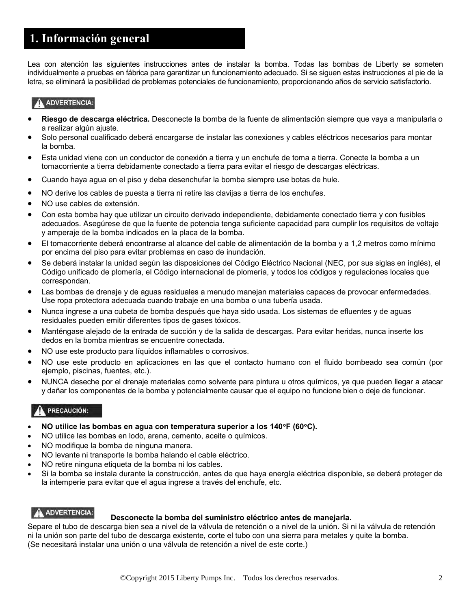# **1. Información general**

Lea con atención las siguientes instrucciones antes de instalar la bomba. Todas las bombas de Liberty se someten individualmente a pruebas en fábrica para garantizar un funcionamiento adecuado. Si se siguen estas instrucciones al pie de la letra, se eliminará la posibilidad de problemas potenciales de funcionamiento, proporcionando años de servicio satisfactorio.

### **ADVERTENCIA:**

- **Riesgo de descarga eléctrica.** Desconecte la bomba de la fuente de alimentación siempre que vaya a manipularla o a realizar algún ajuste.
- Solo personal cualificado deberá encargarse de instalar las conexiones y cables eléctricos necesarios para montar la bomba.
- Esta unidad viene con un conductor de conexión a tierra y un enchufe de toma a tierra. Conecte la bomba a un tomacorriente a tierra debidamente conectado a tierra para evitar el riesgo de descargas eléctricas.
- Cuando haya agua en el piso y deba desenchufar la bomba siempre use botas de hule.
- NO derive los cables de puesta a tierra ni retire las clavijas a tierra de los enchufes.
- NO use cables de extensión.
- Con esta bomba hay que utilizar un circuito derivado independiente, debidamente conectado tierra y con fusibles adecuados. Asegúrese de que la fuente de potencia tenga suficiente capacidad para cumplir los requisitos de voltaje y amperaje de la bomba indicados en la placa de la bomba.
- El tomacorriente deberá encontrarse al alcance del cable de alimentación de la bomba y a 1,2 metros como mínimo por encima del piso para evitar problemas en caso de inundación.
- Se deberá instalar la unidad según las disposiciones del Código Eléctrico Nacional (NEC, por sus siglas en inglés), el Código unificado de plomería, el Código internacional de plomería, y todos los códigos y regulaciones locales que correspondan.
- Las bombas de drenaje y de aguas residuales a menudo manejan materiales capaces de provocar enfermedades. Use ropa protectora adecuada cuando trabaje en una bomba o una tubería usada.
- Nunca ingrese a una cubeta de bomba después que haya sido usada. Los sistemas de efluentes y de aguas residuales pueden emitir diferentes tipos de gases tóxicos.
- Manténgase alejado de la entrada de succión y de la salida de descargas. Para evitar heridas, nunca inserte los dedos en la bomba mientras se encuentre conectada.
- NO use este producto para líquidos inflamables o corrosivos.
- NO use este producto en aplicaciones en las que el contacto humano con el fluido bombeado sea común (por ejemplo, piscinas, fuentes, etc.).
- NUNCA deseche por el drenaje materiales como solvente para pintura u otros químicos, ya que pueden llegar a atacar y dañar los componentes de la bomba y potencialmente causar que el equipo no funcione bien o deje de funcionar.

## PRECAUCIÓN:

- **NO utilice las bombas en agua con temperatura superior a los 140F (60C).**
- NO utilice las bombas en lodo, arena, cemento, aceite o químicos.
- NO modifique la bomba de ninguna manera.
- NO levante ni transporte la bomba halando el cable eléctrico.
- NO retire ninguna etiqueta de la bomba ni los cables.
- Si la bomba se instala durante la construcción, antes de que haya energía eléctrica disponible, se deberá proteger de la intemperie para evitar que el agua ingrese a través del enchufe, etc.

### **ADVERTENCIA:**

### **Desconecte la bomba del suministro eléctrico antes de manejarla.**

Separe el tubo de descarga bien sea a nivel de la válvula de retención o a nivel de la unión. Si ni la válvula de retención ni la unión son parte del tubo de descarga existente, corte el tubo con una sierra para metales y quite la bomba. (Se necesitará instalar una unión o una válvula de retención a nivel de este corte.)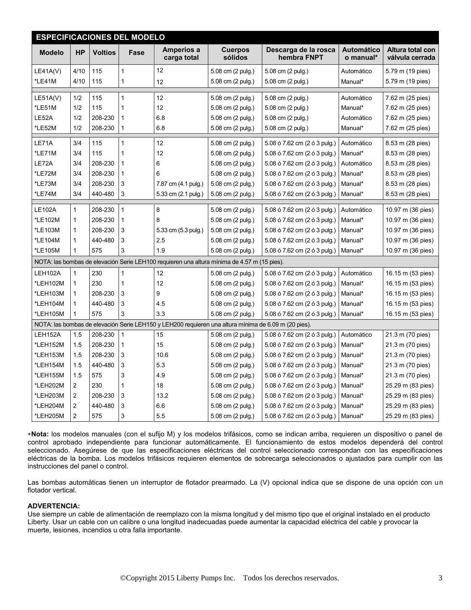| <b>ESPECIFICACIONES DEL MODELO</b> |                |                |              |                           |                                                                                                      |                                     |                                |                                     |
|------------------------------------|----------------|----------------|--------------|---------------------------|------------------------------------------------------------------------------------------------------|-------------------------------------|--------------------------------|-------------------------------------|
| <b>Modelo</b>                      | <b>HP</b>      | <b>Voltios</b> | Fase         | Amperios a<br>carga total | <b>Cuerpos</b><br>sólidos                                                                            | Descarga de la rosca<br>hembra FNPT | <b>Automático</b><br>o manual* | Altura total con<br>válvula cerrada |
| LE41A(V)                           | 4/10           | 115            | $\mathbf{1}$ | 12                        | 5.08 cm (2 pulg.)                                                                                    | 5.08 cm (2 pulg.)                   | Automático                     | 5.79 m (19 pies)                    |
| *LE41M                             | 4/10           | 115            | $\mathbf{1}$ | 12                        | 5.08 cm (2 pulg.)                                                                                    | 5.08 cm (2 pulg.)                   | Manual*                        | 5.79 m (19 pies)                    |
| LE51A(V)                           | 1/2            | 115            | $\mathbf{1}$ | 12                        | 5.08 cm (2 pulg.)                                                                                    | 5.08 cm (2 pulg.)                   | Automático                     | 7.62 m (25 pies)                    |
| *LE51M                             | 1/2            | 115            | $\mathbf{1}$ | 12                        | 5.08 cm (2 pulg.)                                                                                    | 5.08 cm (2 pulg.)                   | Manual*                        | 7.62 m (25 pies)                    |
| LE52A                              | 1/2            | 208-230        | $\mathbf{1}$ | 6.8                       | 5.08 cm (2 pulg.)                                                                                    | 5.08 cm (2 pulg.)                   | Automático                     | 7.62 m (25 pies)                    |
| *LE52M                             | 1/2            | 208-230        | $\mathbf{1}$ | 6.8                       | 5.08 cm (2 pulg.)                                                                                    | 5.08 cm (2 pulg.)                   | Manual*                        | 7.62 m (25 pies)                    |
| LE71A                              | 3/4            | 115            | $\mathbf{1}$ | 12                        | 5.08 cm (2 pulg.)                                                                                    | 5.08 ó 7.62 cm (2 ó 3 pulg.)        | Automático                     | 8.53 m (28 pies)                    |
| *LE71M                             | 3/4            | 115            | $\mathbf{1}$ | 12                        | 5.08 cm (2 pulg.)                                                                                    | 5.08 ó 7.62 cm (2 ó 3 pulg.)        | Manual*                        | 8.53 m (28 pies)                    |
| LE72A                              | 3/4            | 208-230        | $\mathbf{1}$ | 6                         | 5.08 cm (2 pulg.)                                                                                    | 5.08 ó 7.62 cm (2 ó 3 pulg.)        | Automático                     | 8.53 m (28 pies)                    |
| *LE72M                             | 3/4            | 208-230        | $\mathbf{1}$ | 6                         | 5.08 cm (2 pulg.)                                                                                    | 5.08 ó 7.62 cm (2 ó 3 pulg.)        | Manual*                        | 8.53 m (28 pies)                    |
| *LE73M                             | 3/4            | 208-230        | 3            | 7.87 cm (4.1 pulg.)       | 5.08 cm (2 pulg.)                                                                                    | 5.08 ó 7.62 cm (2 ó 3 pulg.)        | Manual*                        | 8.53 m (28 pies)                    |
| *LE74M                             | 3/4            | 440-480        | 3            | 5.33 cm (2.1 pulg.)       | 5.08 cm (2 pulg.)                                                                                    | 5.08 ó 7.62 cm (2 ó 3 pulg.)        | Manual*                        | 8.53 m (28 pies)                    |
|                                    |                |                |              |                           |                                                                                                      |                                     |                                |                                     |
| <b>LE102A</b>                      | $\mathbf{1}$   | 208-230        | $\mathbf{1}$ | 8                         | 5.08 cm (2 pulg.)                                                                                    | 5.08 ó 7.62 cm (2 ó 3 pulg.)        | Automático                     | 10.97 m (36 pies)                   |
| *LE102M                            | 1              | 208-230        | $\mathbf{1}$ | 8                         | 5.08 cm (2 pulg.)                                                                                    | 5.08 ó 7.62 cm (2 ó 3 pulg.)        | Manual*                        | 10.97 m (36 pies)                   |
| *LE103M                            | 1              | 208-230        | 3            | 5.33 cm (5.3 pulg.)       | 5.08 cm (2 pulg.)                                                                                    | 5.08 ó 7.62 cm (2 ó 3 pulg.)        | Manual*                        | 10.97 m (36 pies)                   |
| *LE104M                            | 1              | 440-480        | 3            | 2.5                       | 5.08 cm (2 pulg.)                                                                                    | 5.08 ó 7.62 cm (2 ó 3 pulg.)        | Manual*                        | 10.97 m (36 pies)                   |
| *LE105M                            | $\mathbf{1}$   | 575            | 3            | 1.9                       | 5.08 cm (2 pulg.)                                                                                    | 5.08 ó 7.62 cm (2 ó 3 pulg.)        | Manual*                        | 10.97 m (36 pies)                   |
|                                    |                |                |              |                           | NOTA: las bombas de elevación Serie LEH100 requieren una altura mínima de 4.57 m (15 pies).          |                                     |                                |                                     |
| LEH102A                            | $\mathbf{1}$   | 230            | $\mathbf{1}$ | 12                        | 5.08 cm (2 pulg.)                                                                                    | 5.08 ó 7.62 cm (2 ó 3 pulg.)        | Automático                     | 16.15 m (53 pies)                   |
| *LEH102M                           | $\mathbf{1}$   | 230            | $\mathbf{1}$ | 12                        | 5.08 cm (2 pulg.)                                                                                    | 5.08 ó 7.62 cm (2 ó 3 pulg.)        | Manual*                        | 16.15 m (53 pies)                   |
| *LEH103M                           | $\mathbf{1}$   | 208-230        | 3            | 9                         | 5.08 cm (2 pulg.)                                                                                    | 5.08 ó 7.62 cm (2 ó 3 pulg.)        | Manual*                        | 16.15 m (53 pies)                   |
| *LEH104M                           | $\mathbf{1}$   | 440-480        | 3            | 4.5                       | 5.08 cm (2 pulg.)                                                                                    | 5.08 ó 7.62 cm (2 ó 3 pulg.)        | Manual*                        | 16.15 m (53 pies)                   |
| *LEH105M                           | 1              | 575            | 3            | 3.3                       | 5.08 cm (2 pulg.)                                                                                    | 5.08 ó 7.62 cm (2 ó 3 pulg.)        | Manual*                        | 16.15 m (53 pies)                   |
|                                    |                |                |              |                           | NOTA: las bombas de elevación Serie LEH150 y LEH200 requieren una altura mínima de 6.09 m (20 pies). |                                     |                                |                                     |
| LEH152A                            | 1.5            | 208-230        | $\mathbf{1}$ | 15                        | 5.08 cm (2 pulg.)                                                                                    | 5.08 ó 7.62 cm (2 ó 3 pulg.)        | Automático                     | 21.3 m (70 pies)                    |
| *LEH152M                           | 1.5            | 208-230        | $\mathbf{1}$ | 15                        | 5.08 cm (2 pulg.)                                                                                    | 5.08 ó 7.62 cm (2 ó 3 pulg.)        | Manual*                        | 21.3 m (70 pies)                    |
| *LEH153M                           | 1.5            | 208-230        | 3            | 10.6                      | 5.08 cm (2 pulg.)                                                                                    | 5.08 ó 7.62 cm (2 ó 3 pulg.)        | Manual*                        | 21.3 m (70 pies)                    |
| *LEH154M                           | 1.5            | 440-480        | 3            | 5.3                       | 5.08 cm (2 pulg.)                                                                                    | 5.08 ó 7.62 cm (2 ó 3 pulg.)        | Manual*                        | 21.3 m (70 pies)                    |
| *LEH155M                           | 1.5            | 575            | 3            | 4.9                       | 5.08 cm (2 pulg.)                                                                                    | 5.08 ó 7.62 cm (2 ó 3 pulg.)        | Manual*                        | 21.3 m (70 pies)                    |
| *LEH202M                           | $\overline{c}$ | 230            | $\mathbf{1}$ | 18                        | 5.08 cm (2 pulg.)                                                                                    | 5.08 ó 7.62 cm (2 ó 3 pulg.)        | Manual*                        | 25.29 m (83 pies)                   |
| *LEH203M                           | 2              | 208-230        | 3            | 13.2                      | 5.08 cm (2 pulg.)                                                                                    | 5.08 ó 7.62 cm (2 ó 3 pulg.)        | Manual*                        | 25.29 m (83 pies)                   |
| *LEH204M                           | 2              | 440-480        | 3            | 6.6                       | 5.08 cm (2 pulg.)                                                                                    | 5.08 ó 7.62 cm (2 ó 3 pulg.)        | Manual*                        | 25.29 m (83 pies)                   |
| *LEH205M                           | 2              | 575            | 3            | 5.5                       | 5.08 cm (2 pulg.)                                                                                    | 5.08 ó 7.62 cm (2 ó 3 pulg.)        | Manual*                        | 25.29 m (83 pies)                   |

**Nota:** los modelos manuales (con el sufijo M) y los modelos trifásicos, como se indican arriba, requieren un dispositivo o panel de control aprobado independiente para funcionar automáticamente. El funcionamiento de estos modelos dependerá del control seleccionado. Asegúrese de que las especificaciones eléctricas del control seleccionado correspondan con las especificaciones eléctricas de la bomba. Los modelos trifásicos requieren elementos de sobrecarga seleccionados o ajustados para cumplir con las instrucciones del panel o control.

Las bombas automáticas tienen un interruptor de flotador prearmado. La (V) opcional indica que se dispone de una opción con un flotador vertical.

### **ADVERTENCIA:**

Use siempre un cable de alimentación de reemplazo con la misma longitud y del mismo tipo que el original instalado en el producto Liberty. Usar un cable con un calibre o una longitud inadecuadas puede aumentar la capacidad eléctrica del cable y provocar la muerte, lesiones, incendios u otra falla importante.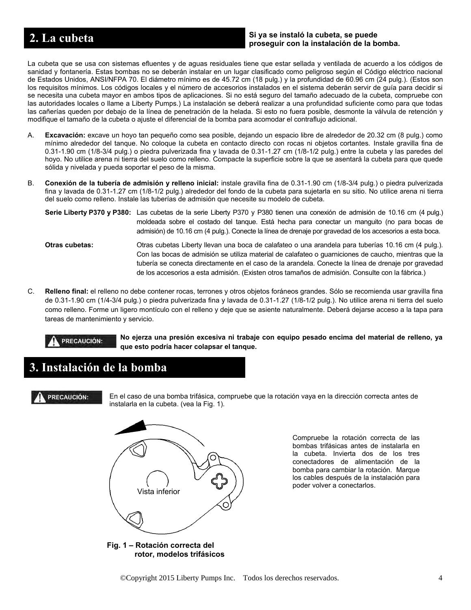### **Si ya se instaló la cubeta, se puede proseguir con la instalación de la bomba. 2. La cubeta**

La cubeta que se usa con sistemas efluentes y de aguas residuales tiene que estar sellada y ventilada de acuerdo a los códigos de sanidad y fontanería. Estas bombas no se deberán instalar en un lugar clasificado como peligroso según el Código eléctrico nacional de Estados Unidos, ANSI/NFPA 70. El diámetro mínimo es de 45.72 cm (18 pulg.) y la profundidad de 60.96 cm (24 pulg.). (Estos son los requisitos mínimos. Los códigos locales y el número de accesorios instalados en el sistema deberán servir de guía para decidir si se necesita una cubeta mayor en ambos tipos de aplicaciones. Si no está seguro del tamaño adecuado de la cubeta, compruebe con las autoridades locales o llame a Liberty Pumps.) La instalación se deberá realizar a una profundidad suficiente como para que todas las cañerías queden por debajo de la línea de penetración de la helada. Si esto no fuera posible, desmonte la válvula de retención y modifique el tamaño de la cubeta o ajuste el diferencial de la bomba para acomodar el contraflujo adicional.

- A. **Excavación:** excave un hoyo tan pequeño como sea posible, dejando un espacio libre de alrededor de 20.32 cm (8 pulg.) como mínimo alrededor del tanque. No coloque la cubeta en contacto directo con rocas ni objetos cortantes. Instale gravilla fina de 0.31-1.90 cm (1/8-3/4 pulg.) o piedra pulverizada fina y lavada de 0.31-1.27 cm (1/8-1/2 pulg.) entre la cubeta y las paredes del hoyo. No utilice arena ni tierra del suelo como relleno. Compacte la superficie sobre la que se asentará la cubeta para que quede sólida y nivelada y pueda soportar el peso de la misma.
- B. **Conexión de la tubería de admisión y relleno inicial:** instale gravilla fina de 0.31-1.90 cm (1/8-3/4 pulg.) o piedra pulverizada fina y lavada de 0.31-1.27 cm (1/8-1/2 pulg.) alrededor del fondo de la cubeta para sujetarla en su sitio. No utilice arena ni tierra del suelo como relleno. Instale las tuberías de admisión que necesite su modelo de cubeta.
	- **Serie Liberty P370 y P380:** Las cubetas de la serie Liberty P370 y P380 tienen una conexión de admisión de 10.16 cm (4 pulg.) moldeada sobre el costado del tanque. Está hecha para conectar un manguito (no para bocas de admisión) de 10.16 cm (4 pulg.). Conecte la línea de drenaje por gravedad de los accesorios a esta boca.
	- **Otras cubetas:** Otras cubetas Liberty llevan una boca de calafateo o una arandela para tuberías 10.16 cm (4 pulg.). Con las bocas de admisión se utiliza material de calafateo o guarniciones de caucho, mientras que la tubería se conecta directamente en el caso de la arandela. Conecte la línea de drenaje por gravedad de los accesorios a esta admisión. (Existen otros tamaños de admisión. Consulte con la fábrica.)
- C. **Relleno final:** el relleno no debe contener rocas, terrones y otros objetos foráneos grandes. Sólo se recomienda usar gravilla fina de 0.31-1.90 cm (1/4-3/4 pulg.) o piedra pulverizada fina y lavada de 0.31-1.27 (1/8-1/2 pulg.). No utilice arena ni tierra del suelo como relleno. Forme un ligero montículo con el relleno y deje que se asiente naturalmente. Deberá dejarse acceso a la tapa para tareas de mantenimiento y servicio.

PRECAUCIÓN:

**No ejerza una presión excesiva ni trabaje con equipo pesado encima del material de relleno, ya que esto podría hacer colapsar el tanque.**

## **3. Instalación de la bomba**

## PRECAUCIÓN:

En el caso de una bomba trifásica, compruebe que la rotación vaya en la dirección correcta antes de instalarla en la cubeta. (vea la Fig. 1).



**Fig. 1 – Rotación correcta del rotor, modelos trifásicos** Compruebe la rotación correcta de las bombas trifásicas antes de instalarla en la cubeta. Invierta dos de los tres conectadores de alimentación de la bomba para cambiar la rotación. Marque los cables después de la instalación para poder volver a conectarlos.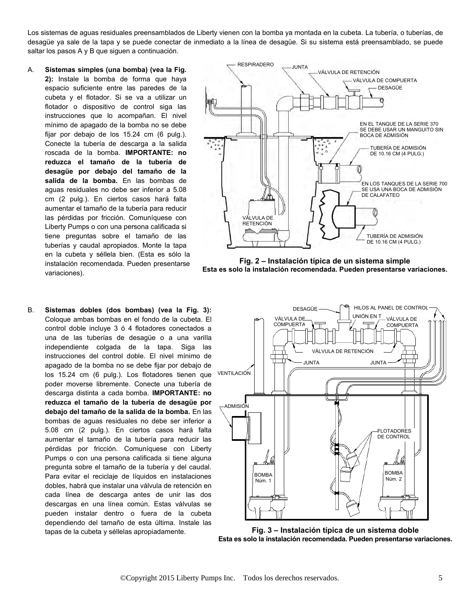Los sistemas de aguas residuales preensamblados de Liberty vienen con la bomba ya montada en la cubeta. La tubería, o tuberías, de desagüe ya sale de la tapa y se puede conectar de inmediato a la línea de desagüe. Si su sistema está preensamblado, se puede saltar los pasos A y B que siguen a continuación.

- A. **Sistemas simples (una bomba) (vea la Fig. 2):** Instale la bomba de forma que haya espacio suficiente entre las paredes de la cubeta y el flotador. Si se va a utilizar un flotador o dispositivo de control siga las instrucciones que lo acompañan. El nivel mínimo de apagado de la bomba no se debe fijar por debajo de los 15.24 cm (6 pulg.). Conecte la tubería de descarga a la salida roscada de la bomba. **IMPORTANTE: no reduzca el tamaño de la tubería de desagüe por debajo del tamaño de la salida de la bomba.** En las bombas de aguas residuales no debe ser inferior a 5.08 cm (2 pulg.). En ciertos casos hará falta aumentar el tamaño de la tubería para reducir las pérdidas por fricción. Comuníquese con Liberty Pumps o con una persona calificada si tiene preguntas sobre el tamaño de las tuberías y caudal apropiados. Monte la tapa en la cubeta y séllela bien. (Esta es sólo la instalación recomendada. Pueden presentarse variaciones).
- B. **Sistemas dobles (dos bombas) (vea la Fig. 3):** Coloque ambas bombas en el fondo de la cubeta. El control doble incluye 3 ó 4 flotadores conectados a una de las tuberías de desagüe o a una varilla independiente colgada de la tapa. Siga las instrucciones del control doble. El nivel mínimo de apagado de la bomba no se debe fijar por debajo de los 15.24 cm (6 pulg.). Los flotadores tienen que poder moverse libremente. Conecte una tubería de descarga distinta a cada bomba. **IMPORTANTE: no reduzca el tamaño de la tubería de desagüe por debajo del tamaño de la salida de la bomba.** En las bombas de aguas residuales no debe ser inferior a 5.08 cm (2 pulg.). En ciertos casos hará falta aumentar el tamaño de la tubería para reducir las pérdidas por fricción. Comuníquese con Liberty Pumps o con una persona calificada si tiene alguna pregunta sobre el tamaño de la tubería y del caudal. Para evitar el reciclaje de líquidos en instalaciones dobles, habrá que instalar una válvula de retención en cada línea de descarga antes de unir las dos descargas en una línea común. Estas válvulas se pueden instalar dentro o fuera de la cubeta dependiendo del tamaño de esta última. Instale las tapas de la cubeta y séllelas apropiadamente.







**Fig. 3 – Instalación típica de un sistema doble Esta es solo la instalación recomendada. Pueden presentarse variaciones.**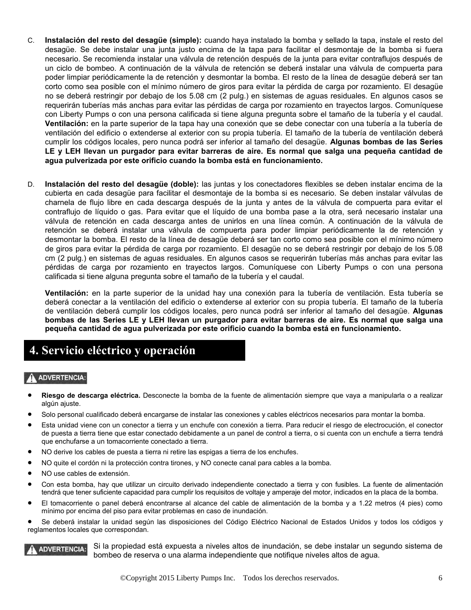- C. **Instalación del resto del desagüe (simple):** cuando haya instalado la bomba y sellado la tapa, instale el resto del desagüe. Se debe instalar una junta justo encima de la tapa para facilitar el desmontaje de la bomba si fuera necesario. Se recomienda instalar una válvula de retención después de la junta para evitar contraflujos después de un ciclo de bombeo. A continuación de la válvula de retención se deberá instalar una válvula de compuerta para poder limpiar periódicamente la de retención y desmontar la bomba. El resto de la línea de desagüe deberá ser tan corto como sea posible con el mínimo número de giros para evitar la pérdida de carga por rozamiento. El desagüe no se deberá restringir por debajo de los 5.08 cm (2 pulg.) en sistemas de aguas residuales. En algunos casos se requerirán tuberías más anchas para evitar las pérdidas de carga por rozamiento en trayectos largos. Comuníquese con Liberty Pumps o con una persona calificada si tiene alguna pregunta sobre el tamaño de la tubería y el caudal. **Ventilación:** en la parte superior de la tapa hay una conexión que se debe conectar con una tubería a la tubería de ventilación del edificio o extenderse al exterior con su propia tubería. El tamaño de la tubería de ventilación deberá cumplir los códigos locales, pero nunca podrá ser inferior al tamaño del desagüe. **Algunas bombas de las Series LE y LEH llevan un purgador para evitar barreras de aire. Es normal que salga una pequeña cantidad de agua pulverizada por este orificio cuando la bomba está en funcionamiento.**
- D. **Instalación del resto del desagüe (doble):** las juntas y los conectadores flexibles se deben instalar encima de la cubierta en cada desagüe para facilitar el desmontaje de la bomba si es necesario. Se deben instalar válvulas de charnela de flujo libre en cada descarga después de la junta y antes de la válvula de compuerta para evitar el contraflujo de líquido o gas. Para evitar que el líquido de una bomba pase a la otra, será necesario instalar una válvula de retención en cada descarga antes de unirlos en una línea común. A continuación de la válvula de retención se deberá instalar una válvula de compuerta para poder limpiar periódicamente la de retención y desmontar la bomba. El resto de la línea de desagüe deberá ser tan corto como sea posible con el mínimo número de giros para evitar la pérdida de carga por rozamiento. El desagüe no se deberá restringir por debajo de los 5.08 cm (2 pulg.) en sistemas de aguas residuales. En algunos casos se requerirán tuberías más anchas para evitar las pérdidas de carga por rozamiento en trayectos largos. Comuníquese con Liberty Pumps o con una persona calificada si tiene alguna pregunta sobre el tamaño de la tubería y el caudal.

**Ventilación:** en la parte superior de la unidad hay una conexión para la tubería de ventilación. Esta tubería se deberá conectar a la ventilación del edificio o extenderse al exterior con su propia tubería. El tamaño de la tubería de ventilación deberá cumplir los códigos locales, pero nunca podrá ser inferior al tamaño del desagüe. **Algunas bombas de las Series LE y LEH llevan un purgador para evitar barreras de aire. Es normal que salga una pequeña cantidad de agua pulverizada por este orificio cuando la bomba está en funcionamiento.**

## **4. Servicio eléctrico y operación**

### **ADVERTENCIA:**

- **Riesgo de descarga eléctrica.** Desconecte la bomba de la fuente de alimentación siempre que vaya a manipularla o a realizar algún ajuste.
- Solo personal cualificado deberá encargarse de instalar las conexiones y cables eléctricos necesarios para montar la bomba.
- Esta unidad viene con un conector a tierra y un enchufe con conexión a tierra. Para reducir el riesgo de electrocución, el conector de puesta a tierra tiene que estar conectado debidamente a un panel de control a tierra, o si cuenta con un enchufe a tierra tendrá que enchufarse a un tomacorriente conectado a tierra.
- NO derive los cables de puesta a tierra ni retire las espigas a tierra de los enchufes.
- NO quite el cordón ni la protección contra tirones, y NO conecte canal para cables a la bomba.
- NO use cables de extensión.
- Con esta bomba, hay que utilizar un circuito derivado independiente conectado a tierra y con fusibles. La fuente de alimentación tendrá que tener suficiente capacidad para cumplir los requisitos de voltaje y amperaje del motor, indicados en la placa de la bomba.
- El tomacorriente o panel deberá encontrarse al alcance del cable de alimentación de la bomba y a 1.22 metros (4 pies) como mínimo por encima del piso para evitar problemas en caso de inundación.
- Se deberá instalar la unidad según las disposiciones del Código Eléctrico Nacional de Estados Unidos y todos los códigos y reglamentos locales que correspondan.



Si la propiedad está expuesta a niveles altos de inundación, se debe instalar un segundo sistema de bombeo de reserva o una alarma independiente que notifique niveles altos de agua.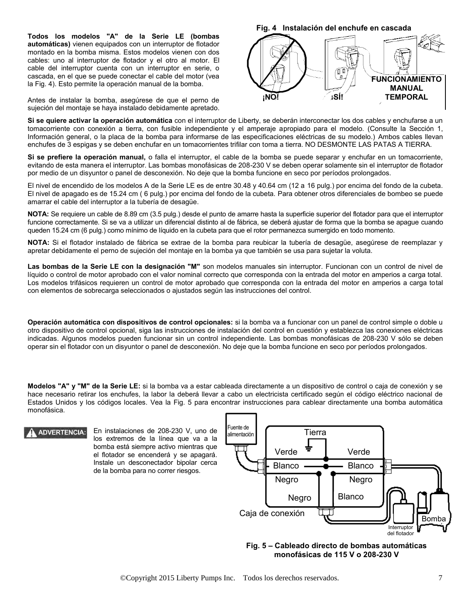**Todos los modelos "A" de la Serie LE (bombas automáticas)** vienen equipados con un interruptor de flotador montado en la bomba misma. Estos modelos vienen con dos cables: uno al interruptor de flotador y el otro al motor. El cable del interruptor cuenta con un interruptor en serie, o cascada, en el que se puede conectar el cable del motor (vea la Fig. 4). Esto permite la operación manual de la bomba.

Antes de instalar la bomba, asegúrese de que el perno de sujeción del montaje se haya instalado debidamente apretado.

**FUNCIONAMIENTO MANUAL ¡NO! ¡SÍ! TEMPORAL Fig. 4 Instalación del enchufe en cascada**

**Si se quiere activar la operación automática** con el interruptor de Liberty, se deberán interconectar los dos cables y enchufarse a un tomacorriente con conexión a tierra, con fusible independiente y el amperaje apropiado para el modelo. (Consulte la Sección 1, Información general, o la placa de la bomba para informarse de las especificaciones eléctricas de su modelo.) Ambos cables llevan enchufes de 3 espigas y se deben enchufar en un tomacorrientes trifilar con toma a tierra. NO DESMONTE LAS PATAS A TIERRA.

**Si se prefiere la operación manual,** o falla el interruptor, el cable de la bomba se puede separar y enchufar en un tomacorriente, evitando de esta manera el interruptor. Las bombas monofásicas de 208-230 V se deben operar solamente sin el interruptor de flotador por medio de un disyuntor o panel de desconexión. No deje que la bomba funcione en seco por períodos prolongados.

El nivel de encendido de los modelos A de la Serie LE es de entre 30.48 y 40.64 cm (12 a 16 pulg.) por encima del fondo de la cubeta. El nivel de apagado es de 15.24 cm ( 6 pulg.) por encima del fondo de la cubeta. Para obtener otros diferenciales de bombeo se puede amarrar el cable del interruptor a la tubería de desagüe.

**NOTA:** Se requiere un cable de 8.89 cm (3.5 pulg.) desde el punto de amarre hasta la superficie superior del flotador para que el interruptor funcione correctamente. Si se va a utilizar un diferencial distinto al de fábrica, se deberá ajustar de forma que la bomba se apague cuando queden 15.24 cm (6 pulg.) como mínimo de líquido en la cubeta para que el rotor permanezca sumergido en todo momento.

**NOTA:** Si el flotador instalado de fábrica se extrae de la bomba para reubicar la tubería de desagüe, asegúrese de reemplazar y apretar debidamente el perno de sujeción del montaje en la bomba ya que también se usa para sujetar la voluta.

**Las bombas de la Serie LE con la designación "M"** son modelos manuales sin interruptor. Funcionan con un control de nivel de líquido o control de motor aprobado con el valor nominal correcto que corresponda con la entrada del motor en amperios a carga total. Los modelos trifásicos requieren un control de motor aprobado que corresponda con la entrada del motor en amperios a carga total con elementos de sobrecarga seleccionados o ajustados según las instrucciones del control.

**Operación automática con dispositivos de control opcionales:** si la bomba va a funcionar con un panel de control simple o doble u otro dispositivo de control opcional, siga las instrucciones de instalación del control en cuestión y establezca las conexiones eléctricas indicadas. Algunos modelos pueden funcionar sin un control independiente. Las bombas monofásicas de 208-230 V sólo se deben operar sin el flotador con un disyuntor o panel de desconexión. No deje que la bomba funcione en seco por períodos prolongados.

**Modelos "A" y "M" de la Serie LE:** si la bomba va a estar cableada directamente a un dispositivo de control o caja de conexión y se hace necesario retirar los enchufes, la labor la deberá llevar a cabo un electricista certificado según el código eléctrico nacional de Estados Unidos y los códigos locales. Vea la Fig. 5 para encontrar instrucciones para cablear directamente una bomba automática monofásica.



En instalaciones de 208-230 V, uno de los extremos de la línea que va a la bomba está siempre activo mientras que el flotador se encenderá y se apagará. Instale un desconectador bipolar cerca de la bomba para no correr riesgos.



**Fig. 5 – Cableado directo de bombas automáticas monofásicas de 115 V o 208-230 V**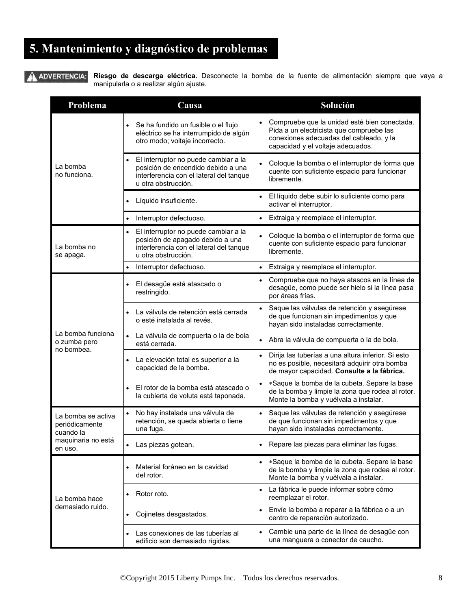## **5. Mantenimiento y diagnóstico de problemas**

A ADVERTENCIA:

**Riesgo de descarga eléctrica.** Desconecte la bomba de la fuente de alimentación siempre que vaya a manipularla o a realizar algún ajuste.

| Problema                                          | Causa                                                                                                                                                   | Solución                                                                                                                                                                              |  |  |  |
|---------------------------------------------------|---------------------------------------------------------------------------------------------------------------------------------------------------------|---------------------------------------------------------------------------------------------------------------------------------------------------------------------------------------|--|--|--|
|                                                   | Se ha fundido un fusible o el flujo<br>eléctrico se ha interrumpido de algún<br>otro modo; voltaje incorrecto.                                          | Compruebe que la unidad esté bien conectada.<br>$\bullet$<br>Pida a un electricista que compruebe las<br>conexiones adecuadas del cableado, y la<br>capacidad y el voltaje adecuados. |  |  |  |
| La bomba<br>no funciona.                          | El interruptor no puede cambiar a la<br>posición de encendido debido a una<br>interferencia con el lateral del tanque<br>u otra obstrucción.            | Coloque la bomba o el interruptor de forma que<br>$\bullet$<br>cuente con suficiente espacio para funcionar<br>libremente.                                                            |  |  |  |
|                                                   | Líquido insuficiente.<br>$\bullet$                                                                                                                      | El líquido debe subir lo suficiente como para<br>$\bullet$<br>activar el interruptor.                                                                                                 |  |  |  |
|                                                   | Interruptor defectuoso.                                                                                                                                 | Extraiga y reemplace el interruptor.                                                                                                                                                  |  |  |  |
| La bomba no<br>se apaga.                          | El interruptor no puede cambiar a la<br>$\bullet$<br>posición de apagado debido a una<br>interferencia con el lateral del tanque<br>u otra obstrucción. | Coloque la bomba o el interruptor de forma que<br>$\bullet$<br>cuente con suficiente espacio para funcionar<br>libremente.                                                            |  |  |  |
|                                                   | Interruptor defectuoso.<br>$\bullet$                                                                                                                    | Extraiga y reemplace el interruptor.<br>$\bullet$                                                                                                                                     |  |  |  |
|                                                   | El desagüe está atascado o<br>$\bullet$<br>restringido.                                                                                                 | Compruebe que no haya atascos en la línea de<br>٠<br>desagüe, como puede ser hielo si la línea pasa<br>por áreas frías.                                                               |  |  |  |
|                                                   | La válvula de retención está cerrada<br>$\bullet$<br>o esté instalada al revés.                                                                         | Saque las válvulas de retención y asegúrese<br>$\bullet$<br>de que funcionan sin impedimentos y que<br>hayan sido instaladas correctamente.                                           |  |  |  |
| La bomba funciona<br>o zumba pero                 | La válvula de compuerta o la de bola<br>está cerrada.                                                                                                   | Abra la válvula de compuerta o la de bola.<br>$\bullet$                                                                                                                               |  |  |  |
| no bombea.                                        | La elevación total es superior a la<br>$\bullet$<br>capacidad de la bomba.                                                                              | Dirija las tuberías a una altura inferior. Si esto<br>$\bullet$<br>no es posible, necesitará adquirir otra bomba<br>de mayor capacidad. Consulte a la fábrica.                        |  |  |  |
|                                                   | El rotor de la bomba está atascado o<br>la cubierta de voluta está taponada.                                                                            | *Saque la bomba de la cubeta. Separe la base<br>$\bullet$<br>de la bomba y limpie la zona que rodea al rotor.<br>Monte la bomba y vuélvala a instalar.                                |  |  |  |
| La bomba se activa<br>periódicamente<br>cuando la | No hay instalada una válvula de<br>retención, se queda abierta o tiene<br>una fuga.                                                                     | Saque las válvulas de retención y asegúrese<br>$\bullet$<br>de que funcionan sin impedimentos y que<br>hayan sido instaladas correctamente.                                           |  |  |  |
| maguinaria no está<br>en uso.                     | Las piezas gotean.                                                                                                                                      | Repare las piezas para eliminar las fugas.                                                                                                                                            |  |  |  |
|                                                   | Material foráneo en la cavidad<br>$\bullet$<br>del rotor.                                                                                               | *Saque la bomba de la cubeta. Separe la base<br>$\bullet$<br>de la bomba y limpie la zona que rodea al rotor.<br>Monte la bomba y vuélvala a instalar.                                |  |  |  |
| La bomba hace                                     | Rotor roto.<br>$\bullet$                                                                                                                                | La fábrica le puede informar sobre cómo<br>$\bullet$<br>reemplazar el rotor.                                                                                                          |  |  |  |
| demasiado ruido.                                  | Cojinetes desgastados.<br>$\bullet$                                                                                                                     | Envíe la bomba a reparar a la fábrica o a un<br>$\bullet$<br>centro de reparación autorizado.                                                                                         |  |  |  |
|                                                   | Las conexiones de las tuberías al<br>$\bullet$<br>edificio son demasiado rígidas.                                                                       | Cambie una parte de la línea de desagüe con<br>$\bullet$<br>una manguera o conector de caucho.                                                                                        |  |  |  |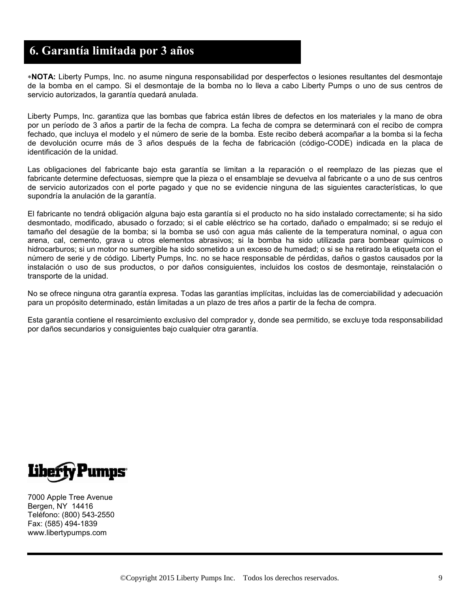## **6. Garantía limitada por 3 años**

**NOTA:** Liberty Pumps, Inc. no asume ninguna responsabilidad por desperfectos o lesiones resultantes del desmontaje de la bomba en el campo. Si el desmontaje de la bomba no lo lleva a cabo Liberty Pumps o uno de sus centros de servicio autorizados, la garantía quedará anulada.

Liberty Pumps, Inc. garantiza que las bombas que fabrica están libres de defectos en los materiales y la mano de obra por un período de 3 años a partir de la fecha de compra. La fecha de compra se determinará con el recibo de compra fechado, que incluya el modelo y el número de serie de la bomba. Este recibo deberá acompañar a la bomba si la fecha de devolución ocurre más de 3 años después de la fecha de fabricación (código-CODE) indicada en la placa de identificación de la unidad.

Las obligaciones del fabricante bajo esta garantía se limitan a la reparación o el reemplazo de las piezas que el fabricante determine defectuosas, siempre que la pieza o el ensamblaje se devuelva al fabricante o a uno de sus centros de servicio autorizados con el porte pagado y que no se evidencie ninguna de las siguientes características, lo que supondría la anulación de la garantía.

El fabricante no tendrá obligación alguna bajo esta garantía si el producto no ha sido instalado correctamente; si ha sido desmontado, modificado, abusado o forzado; si el cable eléctrico se ha cortado, dañado o empalmado; si se redujo el tamaño del desagüe de la bomba; si la bomba se usó con agua más caliente de la temperatura nominal, o agua con arena, cal, cemento, grava u otros elementos abrasivos; si la bomba ha sido utilizada para bombear químicos o hidrocarburos; si un motor no sumergible ha sido sometido a un exceso de humedad; o si se ha retirado la etiqueta con el número de serie y de código. Liberty Pumps, Inc. no se hace responsable de pérdidas, daños o gastos causados por la instalación o uso de sus productos, o por daños consiguientes, incluidos los costos de desmontaje, reinstalación o transporte de la unidad.

No se ofrece ninguna otra garantía expresa. Todas las garantías implícitas, incluidas las de comerciabilidad y adecuación para un propósito determinado, están limitadas a un plazo de tres años a partir de la fecha de compra.

Esta garantía contiene el resarcimiento exclusivo del comprador y, donde sea permitido, se excluye toda responsabilidad por daños secundarios y consiguientes bajo cualquier otra garantía.



7000 Apple Tree Avenue Bergen, NY 14416 Teléfono: (800) 543-2550 Fax: (585) 494-1839 www.libertypumps.com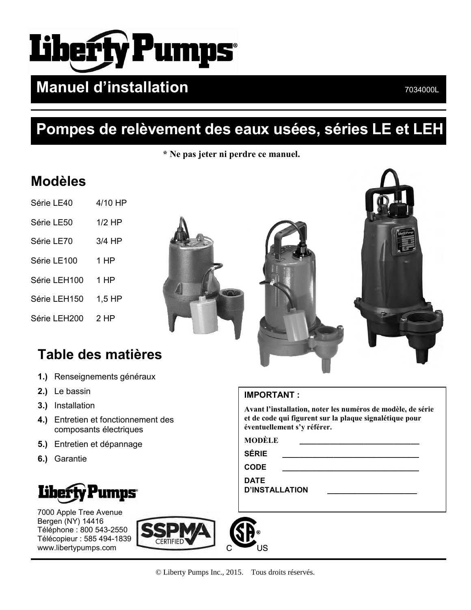

# **Manuel d'installation** 7034000L

# **Pompes de relèvement des eaux usées, séries LE et LEH**

**\* Ne pas jeter ni perdre ce manuel.**

# **Modèles**

| Série LE40   | 4/10 HP  |
|--------------|----------|
| Série LE50   | $1/2$ HP |
| Série LE70   | $3/4$ HP |
| Série LE100  | 1 HP     |
| Série LEH100 | 1 HP     |
| Série LEH150 | $1,5$ HP |
| Série LEH200 | 2 HP     |





- **1.)** Renseignements généraux
- **2.)** Le bassin
- **3.)** Installation
- **4.)** Entretien et fonctionnement des composants électriques
- **5.)** Entretien et dépannage
- **6.)** Garantie



7000 Apple Tree Avenue Bergen (NY) 14416 Téléphone : 800 543-2550 Télécopieur : 585 494-1839 www.libertypumps.com







## **IMPORTANT :**

**Avant l'installation, noter les numéros de modèle, de série et de code qui figurent sur la plaque signalétique pour éventuellement s'y référer.**

**MODÈLE \_\_\_\_\_\_\_\_\_\_\_\_\_\_\_\_\_\_\_\_\_\_\_\_\_\_\_\_**

**SÉRIE \_\_\_\_\_\_\_\_\_\_\_\_\_\_\_\_\_\_\_\_\_\_\_\_\_\_\_\_\_\_\_\_**

**CODE \_\_\_\_\_\_\_\_\_\_\_\_\_\_\_\_\_\_\_\_\_\_\_\_\_\_\_\_\_\_\_\_**

**DATE** 

**D'INSTALLATION \_\_\_\_\_\_\_\_\_\_\_\_\_\_\_\_\_\_\_\_\_**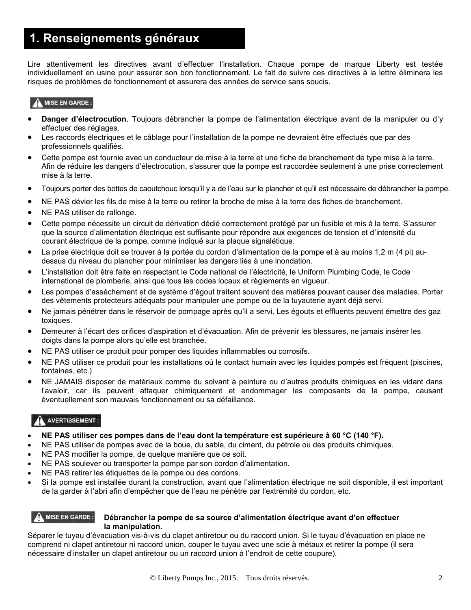# **1. Renseignements généraux**

Lire attentivement les directives avant d'effectuer l'installation. Chaque pompe de marque Liberty est testée individuellement en usine pour assurer son bon fonctionnement. Le fait de suivre ces directives à la lettre éliminera les risques de problèmes de fonctionnement et assurera des années de service sans soucis.

### **MISE EN GARDE:**

- **Danger d'électrocution**. Toujours débrancher la pompe de l'alimentation électrique avant de la manipuler ou d'y effectuer des réglages.
- Les raccords électriques et le câblage pour l'installation de la pompe ne devraient être effectués que par des professionnels qualifiés.
- Cette pompe est fournie avec un conducteur de mise à la terre et une fiche de branchement de type mise à la terre. Afin de réduire les dangers d'électrocution, s'assurer que la pompe est raccordée seulement à une prise correctement mise à la terre.
- Toujours porter des bottes de caoutchouc lorsqu'il y a de l'eau sur le plancher et qu'il est nécessaire de débrancher la pompe.
- NE PAS dévier les fils de mise à la terre ou retirer la broche de mise à la terre des fiches de branchement.
- NE PAS utiliser de rallonge.
- Cette pompe nécessite un circuit de dérivation dédié correctement protégé par un fusible et mis à la terre. S'assurer que la source d'alimentation électrique est suffisante pour répondre aux exigences de tension et d'intensité du courant électrique de la pompe, comme indiqué sur la plaque signalétique.
- La prise électrique doit se trouver à la portée du cordon d'alimentation de la pompe et à au moins 1,2 m (4 pi) audessus du niveau du plancher pour minimiser les dangers liés à une inondation.
- L'installation doit être faite en respectant le Code national de l'électricité, le Uniform Plumbing Code, le Code international de plomberie, ainsi que tous les codes locaux et règlements en vigueur.
- Les pompes d'assèchement et de système d'égout traitent souvent des matières pouvant causer des maladies. Porter des vêtements protecteurs adéquats pour manipuler une pompe ou de la tuyauterie ayant déjà servi.
- Ne jamais pénétrer dans le réservoir de pompage après qu'il a servi. Les égouts et effluents peuvent émettre des gaz toxiques.
- Demeurer à l'écart des orifices d'aspiration et d'évacuation. Afin de prévenir les blessures, ne jamais insérer les doigts dans la pompe alors qu'elle est branchée.
- NE PAS utiliser ce produit pour pomper des liquides inflammables ou corrosifs.
- NE PAS utiliser ce produit pour les installations où le contact humain avec les liquides pompés est fréquent (piscines, fontaines, etc.)
- NE JAMAIS disposer de matériaux comme du solvant à peinture ou d'autres produits chimiques en les vidant dans l'avaloir, car ils peuvent attaquer chimiquement et endommager les composants de la pompe, causant éventuellement son mauvais fonctionnement ou sa défaillance.

## A AVERTISSEMENT :

- **NE PAS utiliser ces pompes dans de l'eau dont la température est supérieure à 60 °C (140 °F).**
- NE PAS utiliser de pompes avec de la boue, du sable, du ciment, du pétrole ou des produits chimiques.
- NE PAS modifier la pompe, de quelque manière que ce soit.
- NE PAS soulever ou transporter la pompe par son cordon d'alimentation.
- NE PAS retirer les étiquettes de la pompe ou des cordons.
- Si la pompe est installée durant la construction, avant que l'alimentation électrique ne soit disponible, il est important de la garder à l'abri afin d'empêcher que de l'eau ne pénètre par l'extrémité du cordon, etc.

### **MISE EN GARDE: Débrancher la pompe de sa source d'alimentation électrique avant d'en effectuer la manipulation.**

Séparer le tuyau d'évacuation vis-à-vis du clapet antiretour ou du raccord union. Si le tuyau d'évacuation en place ne comprend ni clapet antiretour ni raccord union, couper le tuyau avec une scie à métaux et retirer la pompe (il sera nécessaire d'installer un clapet antiretour ou un raccord union à l'endroit de cette coupure).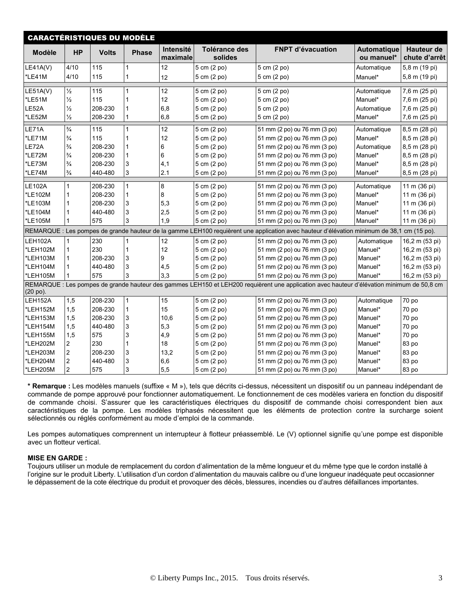| <b>CARACTÉRISTIQUES DU MODÈLE</b> |                |              |                |                       |                          |                                                                                                                                            |                                  |                                    |
|-----------------------------------|----------------|--------------|----------------|-----------------------|--------------------------|--------------------------------------------------------------------------------------------------------------------------------------------|----------------------------------|------------------------------------|
| Modèle                            | <b>HP</b>      | <b>Volts</b> | <b>Phase</b>   | Intensité<br>maximale | Tolérance des<br>solides | <b>FNPT d'évacuation</b>                                                                                                                   | <b>Automatique</b><br>ou manuel* | <b>Hauteur de</b><br>chute d'arrêt |
| LE41A(V)                          | 4/10           | 115          | 1              | 12                    | 5 cm (2 po)              | 5 cm (2 po)                                                                                                                                | Automatique                      | 5,8 m (19 pi)                      |
| *LE41M                            | 4/10           | 115          | $\mathbf{1}$   | 12                    | 5 cm (2 po)              | 5 cm (2 po)                                                                                                                                | Manuel*                          | 5,8 m (19 pi)                      |
| LE51A(V)                          | $\frac{1}{2}$  | 115          | $\mathbf{1}$   | 12                    | 5 cm (2 po)              | 5 cm (2 po)                                                                                                                                | Automatique                      | 7,6 m (25 pi)                      |
| *LE51M                            | $\frac{1}{2}$  | 115          |                | 12                    | 5 cm (2 po)              | 5 cm (2 po)                                                                                                                                | Manuel*                          | 7,6 m (25 pi)                      |
| LE52A                             | $\frac{1}{2}$  | 208-230      | 1              | 6,8                   | 5 cm (2 po)              | 5 cm (2 po)                                                                                                                                | Automatique                      | 7,6 m (25 pi)                      |
| *LE52M                            | $\frac{1}{2}$  | 208-230      | $\mathbf{1}$   | 6,8                   | 5 cm (2 po)              | 5 cm (2 po)                                                                                                                                | Manuel*                          | 7,6 m (25 pi)                      |
| LE71A                             | $\frac{3}{4}$  | 115          | $\mathbf{1}$   | 12                    | 5 cm (2 po)              | 51 mm (2 po) ou 76 mm (3 po)                                                                                                               | Automatique                      | 8,5 m (28 pi)                      |
| *LE71M                            | $\frac{3}{4}$  | 115          | $\mathbf 1$    | 12                    | 5 cm (2 po)              | 51 mm (2 po) ou 76 mm (3 po)                                                                                                               | Manuel*                          | 8,5 m (28 pi)                      |
| LE72A                             | $\frac{3}{4}$  | 208-230      | 1              | 6                     | 5 cm (2 po)              | 51 mm (2 po) ou 76 mm (3 po)                                                                                                               | Automatique                      | 8,5 m (28 pi)                      |
| *LE72M                            | $\frac{3}{4}$  | 208-230      | $\mathbf{1}$   | 6                     | 5 cm (2 po)              | 51 mm (2 po) ou 76 mm (3 po)                                                                                                               | Manuel*                          | 8,5 m (28 pi)                      |
| *LE73M                            | $\frac{3}{4}$  | 208-230      | 3              | 4,1                   | 5 cm (2 po)              | 51 mm (2 po) ou 76 mm (3 po)                                                                                                               | Manuel*                          | 8,5 m (28 pi)                      |
| *LE74M                            | $\frac{3}{4}$  | 440-480      | 3              | 2.1                   | 5 cm (2 po)              | 51 mm (2 po) ou 76 mm (3 po)                                                                                                               | Manuel*                          | 8,5 m (28 pi)                      |
| <b>LE102A</b>                     | $\mathbf{1}$   | 208-230      | $\mathbf{1}$   | 8                     | 5 cm (2 po)              | 51 mm (2 po) ou 76 mm (3 po)                                                                                                               | Automatique                      | 11 m (36 pi)                       |
| *LE102M                           | 1              | 208-230      | $\mathbf{1}$   | 8                     | 5 cm (2 po)              | 51 mm (2 po) ou 76 mm (3 po)                                                                                                               | Manuel*                          | 11 m (36 pi)                       |
| *LE103M                           | 1              | 208-230      | 3              | 5,3                   | 5 cm (2 po)              | 51 mm (2 po) ou 76 mm (3 po)                                                                                                               | Manuel*                          | 11 m (36 pi)                       |
| *LE104M                           | 1              | 440-480      | $\overline{3}$ | 2,5                   | 5 cm (2 po)              | 51 mm (2 po) ou 76 mm (3 po)                                                                                                               | Manuel*                          | 11 m (36 pi)                       |
| *LE105M                           | 1              | 575          | 3              | 1.9                   | 5 cm (2 po)              | 51 mm (2 po) ou 76 mm (3 po)                                                                                                               | Manuel*                          | 11 m (36 pi)                       |
|                                   |                |              |                |                       |                          | REMARQUE : Les pompes de grande hauteur de la gamme LEH100 requièrent une application avec hauteur d'élévation minimum de 38,1 cm (15 po). |                                  |                                    |
| LEH102A                           | 1              | 230          |                | 12                    | 5 cm (2 po)              | 51 mm (2 po) ou 76 mm (3 po)                                                                                                               | Automatique                      | 16,2 m (53 pi)                     |
| *LEH102M                          | 1              | 230          |                | 12                    | 5 cm (2 po)              | 51 mm (2 po) ou 76 mm (3 po)                                                                                                               | Manuel*                          | 16,2 m (53 pi)                     |
| *LEH103M                          | 1              | 208-230      | $\mathbf{3}$   | 9                     | 5 cm (2 po)              | 51 mm (2 po) ou 76 mm (3 po)                                                                                                               | Manuel*                          | 16,2 m (53 pi)                     |
| *LEH104M                          | 1              | 440-480      | 3              | 4,5                   | 5 cm (2 po)              | 51 mm (2 po) ou 76 mm (3 po)                                                                                                               | Manuel*                          | 16,2 m (53 pi)                     |
| *LEH105M                          |                | 575          | 3              | 3.3                   | 5 cm (2 po)              | 51 mm (2 po) ou 76 mm (3 po)                                                                                                               | Manuel*                          | 16,2 m (53 pi)                     |
| (20 po).                          |                |              |                |                       |                          | REMARQUE : Les pompes de grande hauteur des gammes LEH150 et LEH200 requièrent une application avec hauteur d'élévation minimum de 50,8 cm |                                  |                                    |
| LEH152A                           | 1,5            | 208-230      | $\mathbf{1}$   | 15                    | 5 cm (2 po)              | 51 mm (2 po) ou 76 mm (3 po)                                                                                                               | Automatique                      | 70 po                              |
| *LEH152M                          | 1,5            | 208-230      | $\mathbf{1}$   | 15                    | 5 cm (2 po)              | 51 mm (2 po) ou 76 mm (3 po)                                                                                                               | Manuel*                          | 70 po                              |
| *LEH153M                          | 1,5            | 208-230      | $\mathbf{3}$   | 10,6                  | 5 cm (2 po)              | 51 mm (2 po) ou 76 mm (3 po)                                                                                                               | Manuel*                          | 70 po                              |
| *LEH154M                          | 1,5            | 440-480      | 3              | 5,3                   | 5 cm (2 po)              | 51 mm (2 po) ou 76 mm (3 po)                                                                                                               | Manuel*                          | 70 po                              |
| *LEH155M                          | 1,5            | 575          | 3              | 4,9                   | 5 cm (2 po)              | 51 mm (2 po) ou 76 mm (3 po)                                                                                                               | Manuel*                          | 70 po                              |
| *LEH202M                          | $\overline{c}$ | 230          | $\mathbf{1}$   | 18                    | 5 cm (2 po)              | 51 mm (2 po) ou 76 mm (3 po)                                                                                                               | Manuel*                          | 83 po                              |
| *LEH203M                          | $\overline{c}$ | 208-230      | 3              | 13,2                  | 5 cm (2 po)              | 51 mm (2 po) ou 76 mm (3 po)                                                                                                               | Manuel*                          | 83 po                              |
| *LEH204M                          | $\overline{c}$ | 440-480      | $\mathbf{3}$   | 6,6                   | 5 cm (2 po)              | 51 mm (2 po) ou 76 mm (3 po)                                                                                                               | Manuel*                          | 83 po                              |
| *LEH205M                          | $\overline{c}$ | 575          | $\overline{3}$ | 5,5                   | 5 cm (2 po)              | 51 mm (2 po) ou 76 mm (3 po)                                                                                                               | Manuel*                          | 83 po                              |

**\* Remarque :** Les modèles manuels (suffixe « M »), tels que décrits ci-dessus, nécessitent un dispositif ou un panneau indépendant de commande de pompe approuvé pour fonctionner automatiquement. Le fonctionnement de ces modèles variera en fonction du dispositif de commande choisi. S'assurer que les caractéristiques électriques du dispositif de commande choisi correspondent bien aux caractéristiques de la pompe. Les modèles triphasés nécessitent que les éléments de protection contre la surcharge soient sélectionnés ou réglés conformément au mode d'emploi de la commande.

Les pompes automatiques comprennent un interrupteur à flotteur préassemblé. Le (V) optionnel signifie qu'une pompe est disponible avec un flotteur vertical.

### **MISE EN GARDE :**

Toujours utiliser un module de remplacement du cordon d'alimentation de la même longueur et du même type que le cordon installé à l'origine sur le produit Liberty. L'utilisation d'un cordon d'alimentation du mauvais calibre ou d'une longueur inadéquate peut occasionner le dépassement de la cote électrique du produit et provoquer des décès, blessures, incendies ou d'autres défaillances importantes.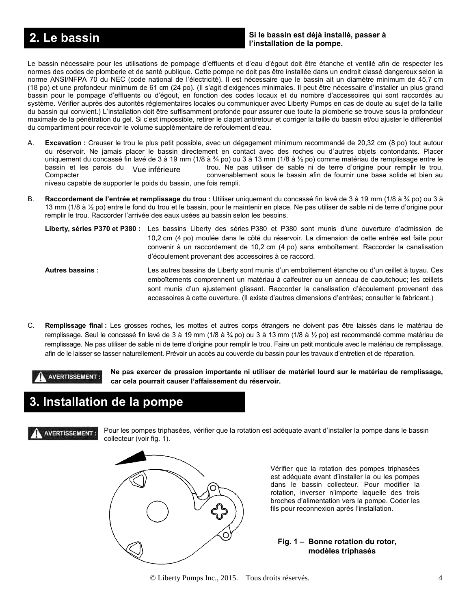### **Si le bassin est déjà installé, passer à l'installation de la pompe.**

Le bassin nécessaire pour les utilisations de pompage d'effluents et d'eau d'égout doit être étanche et ventilé afin de respecter les normes des codes de plomberie et de santé publique. Cette pompe ne doit pas être installée dans un endroit classé dangereux selon la norme ANSI/NFPA 70 du NEC (code national de l'électricité). Il est nécessaire que le bassin ait un diamètre minimum de 45,7 cm (18 po) et une profondeur minimum de 61 cm (24 po). (Il s'agit d'exigences minimales. Il peut être nécessaire d'installer un plus grand bassin pour le pompage d'effluents ou d'égout, en fonction des codes locaux et du nombre d'accessoires qui sont raccordés au système. Vérifier auprès des autorités réglementaires locales ou communiquer avec Liberty Pumps en cas de doute au sujet de la taille du bassin qui convient.) L'installation doit être suffisamment profonde pour assurer que toute la plomberie se trouve sous la profondeur maximale de la pénétration du gel. Si c'est impossible, retirer le clapet antiretour et corriger la taille du bassin et/ou ajuster le différentiel du compartiment pour recevoir le volume supplémentaire de refoulement d'eau.

- A. **Excavation :** Creuser le trou le plus petit possible, avec un dégagement minimum recommandé de 20,32 cm (8 po) tout autour du réservoir. Ne jamais placer le bassin directement en contact avec des roches ou d'autres objets contondants. Placer uniquement du concassé fin lavé de 3 à 19 mm (1/8 à ¾ po) ou 3 à 13 mm (1/8 à ½ po) comme matériau de remplissage entre le trou. Ne pas utiliser de sable ni de terre d'origine pour remplir le trou. Compacter convenablement sous le bassin afin de fournir une base solide et bien au niveau capable de supporter le poids du bassin, une fois rempli. bassin et les parois du Vue inférieure
- B. **Raccordement de l'entrée et remplissage du trou :** Utiliser uniquement du concassé fin lavé de 3 à 19 mm (1/8 à ¾ po) ou 3 à 13 mm (1/8 à ½ po) entre le fond du trou et le bassin, pour le maintenir en place. Ne pas utiliser de sable ni de terre d'origine pour remplir le trou. Raccorder l'arrivée des eaux usées au bassin selon les besoins.

|                        | Liberty, séries P370 et P380 : Les bassins Liberty des séries P380 et P380 sont munis d'une ouverture d'admission de<br>10.2 cm (4 po) moulée dans le côté du réservoir. La dimension de cette entrée est faite pour<br>convenir à un raccordement de 10,2 cm (4 po) sans emboîtement. Raccorder la canalisation<br>d'écoulement provenant des accessoires à ce raccord. |
|------------------------|--------------------------------------------------------------------------------------------------------------------------------------------------------------------------------------------------------------------------------------------------------------------------------------------------------------------------------------------------------------------------|
| <b>Autres bassins:</b> | Les autres bassins de Liberty sont munis d'un emboîtement étanche ou d'un œillet à tuyau. Ces                                                                                                                                                                                                                                                                            |

- emboîtements comprennent un matériau à calfeutrer ou un anneau de caoutchouc; les œillets sont munis d'un ajustement glissant. Raccorder la canalisation d'écoulement provenant des accessoires à cette ouverture. (Il existe d'autres dimensions d'entrées; consulter le fabricant.)
- C. **Remplissage final :** Les grosses roches, les mottes et autres corps étrangers ne doivent pas être laissés dans le matériau de remplissage. Seul le concassé fin lavé de 3 à 19 mm (1/8 à ¾ po) ou 3 à 13 mm (1/8 à ½ po) est recommandé comme matériau de remplissage. Ne pas utiliser de sable ni de terre d'origine pour remplir le trou. Faire un petit monticule avec le matériau de remplissage, afin de le laisser se tasser naturellement. Prévoir un accès au couvercle du bassin pour les travaux d'entretien et de réparation.

**Ne pas exercer de pression importante ni utiliser de matériel lourd sur le matériau de remplissage, AVERTISSEMENT: car cela pourrait causer l'affaissement du réservoir.**

## **3. Installation de la pompe**

**AVERTISSEMENT:** 

Pour les pompes triphasées, vérifier que la rotation est adéquate avant d'installer la pompe dans le bassin collecteur (voir fig. 1).



Vérifier que la rotation des pompes triphasées est adéquate avant d'installer la ou les pompes dans le bassin collecteur. Pour modifier la rotation, inverser n'importe laquelle des trois broches d'alimentation vers la pompe. Coder les fils pour reconnexion après l'installation.

**Fig. 1 – Bonne rotation du rotor, modèles triphasés**

© Liberty Pumps Inc., 2015. Tous droits réservés. 4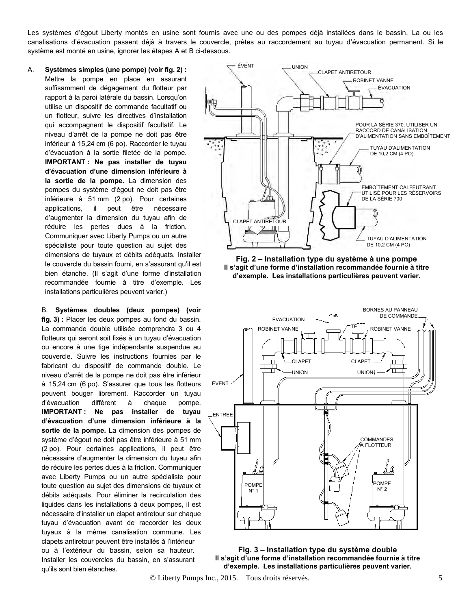Les systèmes d'égout Liberty montés en usine sont fournis avec une ou des pompes déjà installées dans le bassin. La ou les canalisations d'évacuation passent déjà à travers le couvercle, prêtes au raccordement au tuyau d'évacuation permanent. Si le système est monté en usine, ignorer les étapes A et B ci-dessous.

A. **Systèmes simples (une pompe) (voir fig. 2) :** Mettre la pompe en place en assurant suffisamment de dégagement du flotteur par rapport à la paroi latérale du bassin. Lorsqu'on utilise un dispositif de commande facultatif ou un flotteur, suivre les directives d'installation qui accompagnent le dispositif facultatif. Le niveau d'arrêt de la pompe ne doit pas être inférieur à 15,24 cm (6 po). Raccorder le tuyau d'évacuation à la sortie filetée de la pompe. **IMPORTANT : Ne pas installer de tuyau d'évacuation d'une dimension inférieure à la sortie de la pompe.** La dimension des pompes du système d'égout ne doit pas être inférieure à 51 mm (2 po). Pour certaines applications, il peut être nécessaire d'augmenter la dimension du tuyau afin de réduire les pertes dues à la friction. Communiquer avec Liberty Pumps ou un autre spécialiste pour toute question au sujet des dimensions de tuyaux et débits adéquats. Installer le couvercle du bassin fourni, en s'assurant qu'il est bien étanche. (Il s'agit d'une forme d'installation recommandée fournie à titre d'exemple. Les installations particulières peuvent varier.)

B. **Systèmes doubles (deux pompes) (voir fig. 3) :** Placer les deux pompes au fond du bassin. La commande double utilisée comprendra 3 ou 4 flotteurs qui seront soit fixés à un tuyau d'évacuation ou encore à une tige indépendante suspendue au couvercle. Suivre les instructions fournies par le fabricant du dispositif de commande double. Le niveau d'arrêt de la pompe ne doit pas être inférieur à 15,24 cm (6 po). S'assurer que tous les flotteurs peuvent bouger librement. Raccorder un tuyau d'évacuation différent à chaque pompe. **IMPORTANT : Ne pas installer de tuyau d'évacuation d'une dimension inférieure à la sortie de la pompe.** La dimension des pompes de système d'égout ne doit pas être inférieure à 51 mm (2 po). Pour certaines applications, il peut être nécessaire d'augmenter la dimension du tuyau afin de réduire les pertes dues à la friction. Communiquer avec Liberty Pumps ou un autre spécialiste pour toute question au sujet des dimensions de tuyaux et débits adéquats. Pour éliminer la recirculation des liquides dans les installations à deux pompes, il est nécessaire d'installer un clapet antiretour sur chaque tuyau d'évacuation avant de raccorder les deux tuyaux à la même canalisation commune. Les clapets antiretour peuvent être installés à l'intérieur ou à l'extérieur du bassin, selon sa hauteur. Installer les couvercles du bassin, en s'assurant qu'ils sont bien étanches.







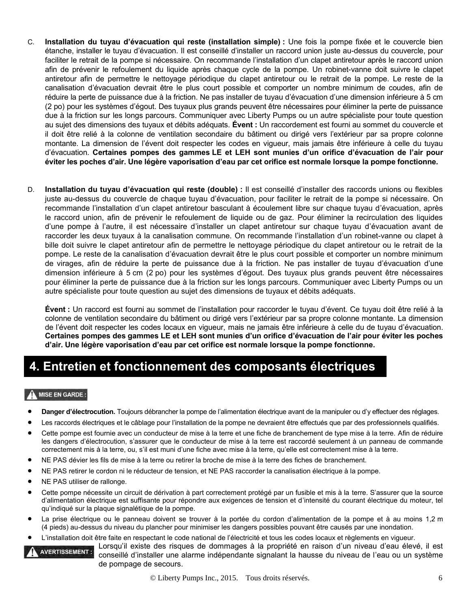- C. **Installation du tuyau d'évacuation qui reste (installation simple) :** Une fois la pompe fixée et le couvercle bien étanche, installer le tuyau d'évacuation. Il est conseillé d'installer un raccord union juste au-dessus du couvercle, pour faciliter le retrait de la pompe si nécessaire. On recommande l'installation d'un clapet antiretour après le raccord union afin de prévenir le refoulement du liquide après chaque cycle de la pompe. Un robinet-vanne doit suivre le clapet antiretour afin de permettre le nettoyage périodique du clapet antiretour ou le retrait de la pompe. Le reste de la canalisation d'évacuation devrait être le plus court possible et comporter un nombre minimum de coudes, afin de réduire la perte de puissance due à la friction. Ne pas installer de tuyau d'évacuation d'une dimension inférieure à 5 cm (2 po) pour les systèmes d'égout. Des tuyaux plus grands peuvent être nécessaires pour éliminer la perte de puissance due à la friction sur les longs parcours. Communiquer avec Liberty Pumps ou un autre spécialiste pour toute question au sujet des dimensions des tuyaux et débits adéquats. **Évent :** Un raccordement est fourni au sommet du couvercle et il doit être relié à la colonne de ventilation secondaire du bâtiment ou dirigé vers l'extérieur par sa propre colonne montante. La dimension de l'évent doit respecter les codes en vigueur, mais jamais être inférieure à celle du tuyau d'évacuation. **Certaines pompes des gammes LE et LEH sont munies d'un orifice d'évacuation de l'air pour éviter les poches d'air. Une légère vaporisation d'eau par cet orifice est normale lorsque la pompe fonctionne.**
- D. **Installation du tuyau d'évacuation qui reste (double) :** Il est conseillé d'installer des raccords unions ou flexibles juste au-dessus du couvercle de chaque tuyau d'évacuation, pour faciliter le retrait de la pompe si nécessaire. On recommande l'installation d'un clapet antiretour basculant à écoulement libre sur chaque tuyau d'évacuation, après le raccord union, afin de prévenir le refoulement de liquide ou de gaz. Pour éliminer la recirculation des liquides d'une pompe à l'autre, il est nécessaire d'installer un clapet antiretour sur chaque tuyau d'évacuation avant de raccorder les deux tuyaux à la canalisation commune. On recommande l'installation d'un robinet-vanne ou clapet à bille doit suivre le clapet antiretour afin de permettre le nettoyage périodique du clapet antiretour ou le retrait de la pompe. Le reste de la canalisation d'évacuation devrait être le plus court possible et comporter un nombre minimum de virages, afin de réduire la perte de puissance due à la friction. Ne pas installer de tuyau d'évacuation d'une dimension inférieure à 5 cm (2 po) pour les systèmes d'égout. Des tuyaux plus grands peuvent être nécessaires pour éliminer la perte de puissance due à la friction sur les longs parcours. Communiquer avec Liberty Pumps ou un autre spécialiste pour toute question au sujet des dimensions de tuyaux et débits adéquats.

**Évent :** Un raccord est fourni au sommet de l'installation pour raccorder le tuyau d'évent. Ce tuyau doit être relié à la colonne de ventilation secondaire du bâtiment ou dirigé vers l'extérieur par sa propre colonne montante. La dimension de l'évent doit respecter les codes locaux en vigueur, mais ne jamais être inférieure à celle du de tuyau d'évacuation. **Certaines pompes des gammes LE et LEH sont munies d'un orifice d'évacuation de l'air pour éviter les poches d'air. Une légère vaporisation d'eau par cet orifice est normale lorsque la pompe fonctionne.**

# **4. Entretien et fonctionnement des composants électriques**

### **MISE EN GARDE:**

- Danger d'électrocution. Toujours débrancher la pompe de l'alimentation électrique avant de la manipuler ou d'y effectuer des réglages.
- Les raccords électriques et le câblage pour l'installation de la pompe ne devraient être effectués que par des professionnels qualifiés.
- Cette pompe est fournie avec un conducteur de mise à la terre et une fiche de branchement de type mise à la terre. Afin de réduire les dangers d'électrocution, s'assurer que le conducteur de mise à la terre est raccordé seulement à un panneau de commande correctement mis à la terre, ou, s'il est muni d'une fiche avec mise à la terre, qu'elle est correctement mise à la terre.
- NE PAS dévier les fils de mise à la terre ou retirer la broche de mise à la terre des fiches de branchement.
- NE PAS retirer le cordon ni le réducteur de tension, et NE PAS raccorder la canalisation électrique à la pompe.
- NE PAS utiliser de rallonge.
- Cette pompe nécessite un circuit de dérivation à part correctement protégé par un fusible et mis à la terre. S'assurer que la source d'alimentation électrique est suffisante pour répondre aux exigences de tension et d'intensité du courant électrique du moteur, tel qu'indiqué sur la plaque signalétique de la pompe.
- La prise électrique ou le panneau doivent se trouver à la portée du cordon d'alimentation de la pompe et à au moins 1,2 m (4 pieds) au-dessus du niveau du plancher pour minimiser les dangers possibles pouvant être causés par une inondation.
- L'installation doit être faite en respectant le code national de l'électricité et tous les codes locaux et règlements en vigueur.

Lorsqu'il existe des risques de dommages à la propriété en raison d'un niveau d'eau élevé, il est **AVERTISSEMENT:** conseillé d'installer une alarme indépendante signalant la hausse du niveau de l'eau ou un système de pompage de secours.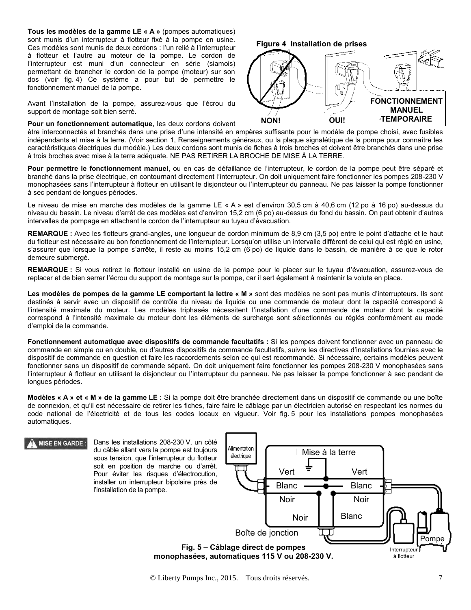**Tous les modèles de la gamme LE « A »** (pompes automatiques) sont munis d'un interrupteur à flotteur fixé à la pompe en usine. Ces modèles sont munis de deux cordons : l'un relié à l'interrupteur à flotteur et l'autre au moteur de la pompe. Le cordon de l'interrupteur est muni d'un connecteur en série (siamois) permettant de brancher le cordon de la pompe (moteur) sur son dos (voir fig. 4) Ce système a pour but de permettre le fonctionnement manuel de la pompe.

Avant l'installation de la pompe, assurez-vous que l'écrou du support de montage soit bien serré.

**Pour un fonctionnement automatique**, les deux cordons doivent

être interconnectés et branchés dans une prise d'une intensité en ampères suffisante pour le modèle de pompe choisi, avec fusibles indépendants et mise à la terre. (Voir section 1, Renseignements généraux, ou la plaque signalétique de la pompe pour connaître les caractéristiques électriques du modèle.) Les deux cordons sont munis de fiches à trois broches et doivent être branchés dans une prise à trois broches avec mise à la terre adéquate. NE PAS RETIRER LA BROCHE DE MISE À LA TERRE.

**Pour permettre le fonctionnement manuel**, ou en cas de défaillance de l'interrupteur, le cordon de la pompe peut être séparé et branché dans la prise électrique, en contournant directement l'interrupteur. On doit uniquement faire fonctionner les pompes 208-230 V monophasées sans l'interrupteur à flotteur en utilisant le disjoncteur ou l'interrupteur du panneau. Ne pas laisser la pompe fonctionner à sec pendant de longues périodes.

Le niveau de mise en marche des modèles de la gamme LE « A » est d'environ 30,5 cm à 40,6 cm (12 po à 16 po) au-dessus du niveau du bassin. Le niveau d'arrêt de ces modèles est d'environ 15,2 cm (6 po) au-dessus du fond du bassin. On peut obtenir d'autres intervalles de pompage en attachant le cordon de l'interrupteur au tuyau d'évacuation.

**REMARQUE :** Avec les flotteurs grand-angles, une longueur de cordon minimum de 8,9 cm (3,5 po) entre le point d'attache et le haut du flotteur est nécessaire au bon fonctionnement de l'interrupteur. Lorsqu'on utilise un intervalle différent de celui qui est réglé en usine, s'assurer que lorsque la pompe s'arrête, il reste au moins 15,2 cm (6 po) de liquide dans le bassin, de manière à ce que le rotor demeure submergé.

**REMARQUE :** Si vous retirez le flotteur installé en usine de la pompe pour le placer sur le tuyau d'évacuation, assurez-vous de replacer et de bien serrer l'écrou du support de montage sur la pompe, car il sert également à maintenir la volute en place.

Les modèles de pompes de la gamme LE comportant la lettre « M » sont des modèles ne sont pas munis d'interrupteurs. Ils sont destinés à servir avec un dispositif de contrôle du niveau de liquide ou une commande de moteur dont la capacité correspond à l'intensité maximale du moteur. Les modèles triphasés nécessitent l'installation d'une commande de moteur dont la capacité correspond à l'intensité maximale du moteur dont les éléments de surcharge sont sélectionnés ou réglés conformément au mode d'emploi de la commande.

**Fonctionnement automatique avec dispositifs de commande facultatifs :** Si les pompes doivent fonctionner avec un panneau de commande en simple ou en double, ou d'autres dispositifs de commande facultatifs, suivre les directives d'installations fournies avec le dispositif de commande en question et faire les raccordements selon ce qui est recommandé. Si nécessaire, certains modèles peuvent fonctionner sans un dispositif de commande séparé. On doit uniquement faire fonctionner les pompes 208-230 V monophasées sans l'interrupteur à flotteur en utilisant le disjoncteur ou l'interrupteur du panneau. Ne pas laisser la pompe fonctionner à sec pendant de longues périodes.

**Modèles « A » et « M » de la gamme LE :** Si la pompe doit être branchée directement dans un dispositif de commande ou une boîte de connexion, et qu'il est nécessaire de retirer les fiches, faire faire le câblage par un électricien autorisé en respectant les normes du code national de l'électricité et de tous les codes locaux en vigueur. Voir fig. 5 pour les installations pompes monophasées automatiques.



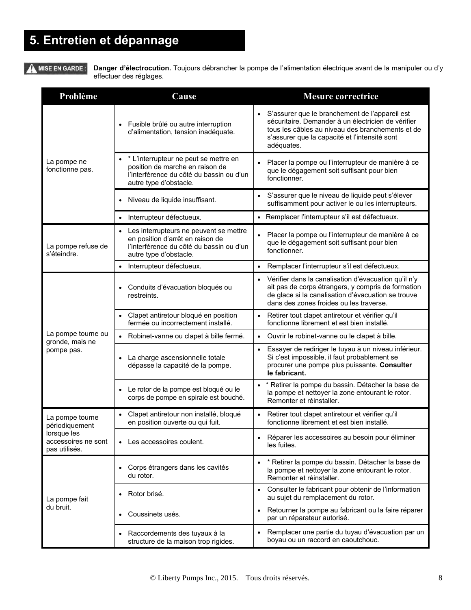## **5. Entretien et dépannage**

**A** MISE EN GARDE :

**Danger d'électrocution.** Toujours débrancher la pompe de l'alimentation électrique avant de la manipuler ou d'y effectuer des réglages.

| Problème                                                                                 | Cause                                                                                                                                              | <b>Mesure correctrice</b>                                                                                                                                                                                                 |
|------------------------------------------------------------------------------------------|----------------------------------------------------------------------------------------------------------------------------------------------------|---------------------------------------------------------------------------------------------------------------------------------------------------------------------------------------------------------------------------|
| La pompe ne<br>fonctionne pas.                                                           | Fusible brûlé ou autre interruption<br>d'alimentation, tension inadéquate.                                                                         | · S'assurer que le branchement de l'appareil est<br>sécuritaire. Demander à un électricien de vérifier<br>tous les câbles au niveau des branchements et de<br>s'assurer que la capacité et l'intensité sont<br>adéquates. |
|                                                                                          | * L'interrupteur ne peut se mettre en<br>position de marche en raison de<br>l'interférence du côté du bassin ou d'un<br>autre type d'obstacle.     | Placer la pompe ou l'interrupteur de manière à ce<br>que le dégagement soit suffisant pour bien<br>fonctionner.                                                                                                           |
|                                                                                          | Niveau de liquide insuffisant.                                                                                                                     | S'assurer que le niveau de liquide peut s'élever<br>suffisamment pour activer le ou les interrupteurs.                                                                                                                    |
|                                                                                          | Interrupteur défectueux.                                                                                                                           | • Remplacer l'interrupteur s'il est défectueux.                                                                                                                                                                           |
| La pompe refuse de<br>s'éteindre.                                                        | • Les interrupteurs ne peuvent se mettre<br>en position d'arrêt en raison de<br>l'interférence du côté du bassin ou d'un<br>autre type d'obstacle. | Placer la pompe ou l'interrupteur de manière à ce<br>que le dégagement soit suffisant pour bien<br>fonctionner.                                                                                                           |
|                                                                                          | Interrupteur défectueux.                                                                                                                           | · Remplacer l'interrupteur s'il est défectueux.                                                                                                                                                                           |
|                                                                                          | Conduits d'évacuation bloqués ou<br>restreints.                                                                                                    | Vérifier dans la canalisation d'évacuation qu'il n'y<br>ait pas de corps étrangers, y compris de formation<br>de glace si la canalisation d'évacuation se trouve<br>dans des zones froides ou les traverse.               |
|                                                                                          | Clapet antiretour bloqué en position<br>fermée ou incorrectement installé.                                                                         | $\bullet$<br>Retirer tout clapet antiretour et vérifier qu'il<br>fonctionne librement et est bien installé.                                                                                                               |
| La pompe tourne ou<br>gronde, mais ne                                                    | Robinet-vanne ou clapet à bille fermé.                                                                                                             | Ouvrir le robinet-vanne ou le clapet à bille.                                                                                                                                                                             |
| pompe pas.                                                                               | La charge ascensionnelle totale<br>$\bullet$<br>dépasse la capacité de la pompe.                                                                   | Essayer de rediriger le tuyau à un niveau inférieur.<br>Si c'est impossible, il faut probablement se<br>procurer une pompe plus puissante. Consulter<br>le fabricant.                                                     |
|                                                                                          | Le rotor de la pompe est bloqué ou le<br>corps de pompe en spirale est bouché.                                                                     | · * Retirer la pompe du bassin. Détacher la base de<br>la pompe et nettoyer la zone entourant le rotor.<br>Remonter et réinstaller.                                                                                       |
| La pompe tourne<br>périodiquement<br>lorsque les<br>accessoires ne sont<br>pas utilisés. | Clapet antiretour non installé, bloqué<br>en position ouverte ou qui fuit.                                                                         | Retirer tout clapet antiretour et vérifier qu'il<br>fonctionne librement et est bien installé.                                                                                                                            |
|                                                                                          | Les accessoires coulent.                                                                                                                           | Réparer les accessoires au besoin pour éliminer<br>les fuites.                                                                                                                                                            |
|                                                                                          | Corps étrangers dans les cavités<br>$\bullet$<br>du rotor.                                                                                         | * Retirer la pompe du bassin. Détacher la base de<br>la pompe et nettoyer la zone entourant le rotor.<br>Remonter et réinstaller.                                                                                         |
| La pompe fait                                                                            | Rotor brisé.<br>٠                                                                                                                                  | Consulter le fabricant pour obtenir de l'information<br>au sujet du remplacement du rotor.                                                                                                                                |
| du bruit.                                                                                | Coussinets usés.<br>$\bullet$                                                                                                                      | Retourner la pompe au fabricant ou la faire réparer<br>$\bullet$<br>par un réparateur autorisé.                                                                                                                           |
|                                                                                          | Raccordements des tuyaux à la<br>structure de la maison trop rigides.                                                                              | Remplacer une partie du tuyau d'évacuation par un<br>boyau ou un raccord en caoutchouc.                                                                                                                                   |